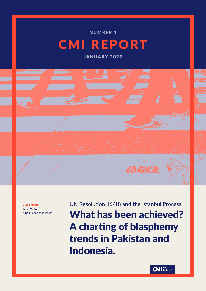# CMI REPORT NUMBER 1

JANUARY 2022

### AUTHOR

Kari Telle Chr. Michelsen Institute

UN Resolution 16/18 and the Istanbul Process: What has been achieved? A charting of blasphemy trends in Pakistan and Indonesia.

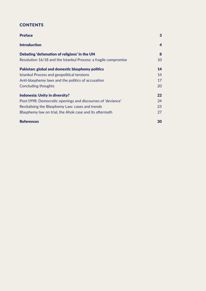# **CONTENTS**

| <b>Preface</b>                                                  | 3                 |
|-----------------------------------------------------------------|-------------------|
| <b>Introduction</b>                                             | 4                 |
| Debating 'defamation of religions' in the UN                    | 8                 |
| Resolution 16/18 and the Istanbul Process: a fragile compromise | 10                |
| Pakistan: global and domestic blasphemy politics                | 14                |
| Istanbul Process and geopolitical tensions                      | 14                |
| Anti-blasphemy laws and the politics of accusation              | 17                |
| <b>Concluding thoughts</b>                                      | 20                |
| <b>Indonesia: Unity in diversity?</b>                           | $22 \overline{)}$ |
| Post-1998: Democratic openings and discourses of 'deviance'     | 24                |
| Revitalising the Blasphemy Law: cases and trends                | 25                |
| Blasphemy law on trial, the Ahok case and its aftermath         | 27                |
| <b>References</b>                                               | 30                |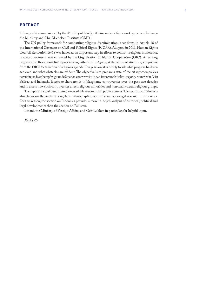## <span id="page-2-0"></span>PREFACE

This report is commissioned by the Ministry of Foreign Affairs under a framework agreement between the Ministry and Chr. Michelsen Institute (CMI).

The UN policy framework for combatting religious discrimination is set down in Article 18 of the International Covenant on Civil and Political Rights (ICCPR). Adopted in 2011, Human Rights Council Resolution 16/18 was hailed as an important step in efforts to confront religious intolerance, not least because it was endorsed by the Organisation of Islamic Cooperation (OIC). After long negotiations, Resolution 16/18 puts *persons*, rather than *religions*, at the centre of attention, a departure from the OIC's 'defamation of religions' agenda. Ten years on, it is timely to ask what progress has been achieved and what obstacles are evident. The objective is to prepare a state-of-the-art report on policies pertaining to blasphemy/religious defamation controversies in two important Muslim-majority countries in Asia: Pakistan and Indonesia. It seeks to chart trends in blasphemy controversies over the past two decades and to assess how such controversies affect religious minorities and non-mainstream religious groups.

The report is a desk study based on available research and public sources. The section on Indonesia also draws on the author's long-term ethnographic fieldwork and sociolegal research in Indonesia. For this reason, the section on Indonesia provides a more in-depth analysis of historical, political and legal developments than the section on Pakistan.

I thank the Ministry of Foreign Affairs, and Geir Løkken in particular, for helpful input.

*Kari Telle*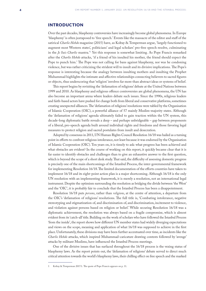## <span id="page-3-0"></span>INTRODUCTION

Over the past decades, blasphemy controversies have increasingly become global phenomena. In Europe 'blasphemy' is often juxtaposed to 'free speech.' Events like the massacre of the editor and staff of the satirical *Charlie Hebdo* magazine (2015) have, as Koltay & Temperman argue, 'largely functioned to augment most Western states', politicians' and legal scholars' pro-free speech resolve, culminating in the *Je Suis Charlie* mantra.'1 Yet this response is somewhat limiting. As Pope Francis remarked after the *Charlie Hebdo* attacks, 'if a friend of his insulted his mother, the friend should expect the Pope to punch him.' The Pope was not calling for bans against blasphemy, nor was he condoning violence, but was rather criticizing the strident will to insult and its divisive implications. The Pope's response is interesting because the analogy between insulting mothers and insulting the Prophet Muhammad highlights the intimate and affective relationships connecting believers to sacred figures or objects, thus underscoring that 'religion' involves far more than abstract ideas or systems of belief.

This report begins by revisiting the 'defamation of religions' debate at the United Nations between 1999 and 2010. As blasphemy and religious offence controversies are global phenomena, the UN has also become an important arena where leaders debate such issues. Since the 1990s, religious leaders and faith-based actors have pushed for change both from liberal and conservative platforms, sometimes creating unexpected alliances. The 'defamation of religions' resolutions were tabled by the Organisation of Islamic Cooperation (OIC), a powerful alliance of 57 mainly Muslim-majority states. Although the 'defamation of religions' agenda ultimately failed to gain traction within the UN system, this decade-long diplomatic battle reveals a deep – and perhaps unbridgeable – gap between proponents of a liberal, pro-speech agenda built around individual rights and freedoms and those favoring legal measures to protect religion and sacred postulates from insult and desecration.

Adopted by consensus in 2011, UN Human Rights Council Resolution 16/18 was hailed as a turning point in efforts to confront religious intolerance, not least because it was endorsed by the Organisation of Islamic Cooperation (OIC). Ten years on, it is timely to ask: what progress has been achieved and what obstacles are evident? In the course of working on this report, it quickly became clear that it is far easier to identify obstacles and challenges than to give an exhaustive answer to the first question, which is beyond the scope of a short desk study. That said, the difficulty of assessing domestic progress is precisely one of the main shortcomings of the Istanbul Process, the inter-governmental framework for implementing Resolution 16/18. The limited documentation of the efforts countries have taken to implement 16/18 and its eight-point action plan is a major shortcoming. Although 16/18 is the only UN resolution with an implementing framework, it is merely a resolution, not an international legal instrument. Despite the optimism surrounding the resolution as bridging the divide between 'the West' and the 'OIC', it is probably fair to conclude that the Istanbul Process has been a disappointment.

Resolution 16/18 puts *persons*, rather than *religions*, at the centre of attention, a departure from the OIC's 'defamation of religions' resolutions. The full title is, 'Combating intolerance, negative stereotyping and stigmatization of, and discrimination of, and discrimination, incitement to violence, and violation against persons based on religion or belief.' While securing Resolution 16/18 was a diplomatic achievement, the resolution was always based on a fragile compromise, which is almost evident from its 'catch-all' title. Building on the work of scholars who have followed the Istanbul Process 'from the inside', the report shows how different UN member states had widely diverging expectations and views on the scope, meaning and application of what 16/18 was supposed to achieve in the first place. Unfortunately, these divisions may have been further accentuated over time, as incidents like the *Charlie Hebdo* attacks, which inspired Muhammad-caricature drawing contests followed by 'avenge' attacks by militant Muslims, have influenced the Istanbul Process meetings.

One of the divisive issues that has surfaced throughout the 16/18 process is the vexing status of blasphemy laws. As the report points out, the 'defamation of religions' debate served to direct much critical attention towards the world's blasphemy laws, their chilling effect on free speech and the marked

<sup>1</sup> Koltay & Temperman 2017:1. The quote of Pope Francis appears on p. 11.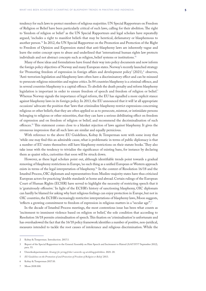tendency for such laws to protect members of religious majorities. UN Special Rapporteurs on Freedom of Religion or Belief have been particularly critical of such laws, calling for their abolition. The right to 'freedom of religion or belief' as the UN Special Rapporteurs and legal scholars have repeatedly argued, 'includes a right to manifest beliefs that may be heretical, defamatory or blasphemous to another person.'2 In 2012, the UN Special Rapporteur on the Promotion and Protection of the Right to Freedom of Opinion and Expression stated that anti-blasphemy laws are inherently vague and leave the entire concept open to abuse and underlined that 'international human rights law protects individuals and not abstract concepts such as religion, belief systems or institutions.'3

Many of these ideas and formulations have found their way into policy documents and now inform the foreign policy objectives of Norway and many European states. Norway's recently launched strategy for 'Promoting freedom of expression in foreign affairs and development policy' (2021),<sup>4</sup> observes, 'Anti-terrorism legislation and blasphemy laws often have a discriminatory effect and can be misused to persecute religious minorities and regime critics. In 84 countries blasphemy is a criminal offence, and in several countries blasphemy is a capital offence. To abolish the death penalty and reform blasphemy legislation is important in order to ensure freedom of speech and freedom of religion or belief.' Whereas Norway signals the importance of legal reform, the EU has signalled a more explicit stance against blasphemy laws in its foreign policy. In 2013, the EU announced that it will 'at all appropriate occasions' advocate the position that 'laws that criminalize blasphemy restrict expressions concerning religious or other beliefs; that they are often applied so as to persecute, mistreat, or intimidate persons belonging to religious or other minorities, that they can have a serious debilitating effect on freedom of expression and on freedom of religion or belief; and recommend the decriminalisation of such offences.'5 This statement comes close to a blanket rejection of laws against blasphemy. It gives the erroneous impression that all such laws are similar and equally pernicious.

With reference to the above EU Guidelines, Koltay & Temperman note with some irony that 'while one may find this an admirable cause, what is problematic in terms of public diplomacy is that a number of EU states themselves still have blasphemy restrictions on their statute books.' They also take issue with the tendency to trivialize the significance of existing bans, for instance by declaring them as quaint relics, curiosities that soon will be struck down.

However, as these legal scholars point out, although identifiable trends point towards a gradual removing of blasphemy restrictions in Europe, 'no such thing as a unified European or Western approach exists in terms of the legal interpretation of blasphemy.'6 In the context of Resolution 16/18 and the Istanbul Process, OIC diplomats and representatives from Muslim-majority states have thus criticised European actors for practicing 'double standards' at home and abroad. Certain rulings of the European Court of Human Rights (ECHR) have served to highlight the necessity of restricting speech that it is 'gratuitously offensive.' In light of the ECHR's history of sanctioning blasphemy, OIC diplomats can hardly be blamed for asking why hurt religious feelings can enjoy protection in Europe, but not in OIC countries, the ECHR's increasingly restrictive interpretations of blasphemy laws, Moon suggests, 'reflects a growing commitment to freedom of expression in religious matters in a "secular age"'.7

In the decade of Istanbul Process meetings, the most contentious issue has been what counts as 'incitement to imminent violence based on religion or belief,' the sole condition that according to Resolution 16/18 permits criminalisation of speech. This fixation on 'criminalisation' is unfortunate and has overshadowed the fact that the 16/18 policy framework identifies a number of positive, non-juridical, measures intended to tackle the root causes of intolerance and religious discrimination. While the

<sup>2</sup> Koltay & Temperman. Introduction. 2017:3.

<sup>3</sup> Report of the Special Rapporteur to the General Assembly on Hate Speech and Incitement to Hatred (A/67/357/7 September 2012), para. 53.

<sup>4</sup> Utenriksdepartementet. *Strategi for ytringsfrihet i utenriks-og utviklingspolitikken*. 2021: 20.

<sup>5</sup> *EU Guidelines on the Promotion of and Protection of Freedom of Religion or Belief*. 2013.

<sup>6</sup> Koltay & Temperman 2017:10.

<sup>7</sup> Moon 2018:100.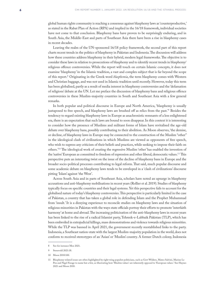global human rights community is reaching a consensus against blasphemy laws as 'counterproductive,' as stated in the Rabat Plan of Action (RPA) and implied in the 16/18 framework, individual societies have not come to that conclusion. Blasphemy bans have proven to be surprisingly enduring, and in South Asia, the Middle-East and parts of Southeast Asia there have been a rise in blasphemy cases in recent decades.

Leaving the realm of the UN-sponsored 16/18 policy framework, the second part of this report charts recent trends in the politics of blasphemy in Pakistan and Indonesia. The discussion will address how these countries address blasphemy in their hybrid, modern legal frameworks. The objective is to consider these laws in relation to prosecutions of blasphemy and to identify recent trends in blasphemy/ religious offence controversies. While the report will touch on certain Islamic concepts, it does not examine 'blasphemy' in the Islamic tradition, a vast and complex subject that is far beyond the scope of this report.8 Originating in the Greek word *blasphemia*, the term blasphemy comes with Western and Christian baggage, and was not used in Islamic tradition until recently. However, today this term has been globalised, partly as a result of media interest in blasphemy controversies and the 'defamation of religions' debate at the UN. Let me preface the discussion of blasphemy bans and religious offence controversies in these Muslim-majority countries in South and Southeast Asia with a few general remarks.

In both popular and political discourse in Europe and North America, 'blasphemy is usually juxtaposed to free speech, and blasphemy laws are brushed off as relics from the past.'9 Besides the tendency to regard existing blasphemy laws in Europe as anachronistic remnants of a less enlightened era, there is an expectation that such laws are bound to soon disappear. In this context it is interesting to consider how the presence of Muslims and militant forms of Islam have revitalised the age-old debate over blasphemy bans, possibly contributing to their abolition. As Moon observes, 'the demise, or decline, of blasphemy laws in Europe may be connected to the construction of the Muslim "other" in the ideological clash of civilizations in which Muslims are viewed as opponents of free speech, who wish to supress any criticism of their beliefs and practices, while seeking to impose their faith on others.'10 The ideological work of creating the regressive Muslim 'other' has enabled the invention of the 'native' European as committed to freedom of expression and other liberal, democratic values.11 This perspective puts an interesting twist on the issue of the decline of blasphemy bans in Europe and the broader socio-political processes contributing to legal reform. That said, much popular discourse and some academic debate on blasphemy laws tends to be enveloped in a 'clash of civilizations' discourse pitting 'Islam' against 'the West'.

Across South Asia and in parts of Southeast Asia, scholars have noted an upsurge in blasphemy accusations and anti-blasphemy mobilisations in recent years (Rollier et al. 2019). Studies of blasphemy typically focus on specific countries and their legal systems. Yet this perspective fails to account for the globalised nature of today's blasphemy controversies. This perspective is particularly limited in the case of Pakistan, a country that has taken a global role in defending Islam and the Prophet Muhammad from 'insult.' It is a dizzying experience to reconcile studies on blasphemy laws and the situation of religious minorities in Pakistan with the ways state officials portray their efforts to promote 'interfaith harmony' at home and abroad. The increasing politicisation of the anti-blasphemy laws in recent years has been linked to the rise of a radical Islamist party, Tehreek-e-Labbaik Pakistan (TLP), which has been embroiled in extrajudicial killings, mass demonstrations and violence towards religious minorities. While the TLP was banned in April 2021, the government recently reestablished links to the party. Indonesia, a Southeast nation-state with the largest Muslim-majority population in the world, does not conform to received stereotypes of an 'Asian' or 'Muslim' country. A former Dutch colony, Indonesia

<sup>8</sup> See for instance Moe 2021.

<sup>9</sup> Stensvold 2021:18.

<sup>10</sup> Moon 2018:100.

<sup>11</sup> Blasphemy-related issues are often highlighted by right-wing populist politicians, such as Gert Wilders, Mateo Salvini, Marine Le Pen and Nigel Farage to name but a few, as illustrating how 'Muslim values' are inherently opposed to 'European values.' See Haynes 2021 and Moon 2018.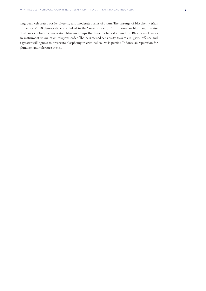long been celebrated for its diversity and moderate forms of Islam. The upsurge of blasphemy trials in the post-1998 democratic era is linked to the 'conservative turn' in Indonesian Islam and the rise of alliances between conservative Muslim groups that have mobilised around the Blasphemy Law as an instrument to maintain religious order. The heightened sensitivity towards religious offence and a greater willingness to prosecute blasphemy in criminal courts is putting Indonesia's reputation for pluralism and tolerance at risk.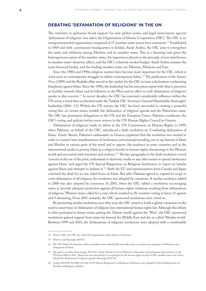## <span id="page-7-0"></span>DEBATING 'DEFAMATION OF RELIGIONS' IN THE UN

The initiative to galvanise broad support for new global norms and legal instruments against 'defamation of religions' was taken the Organisation of Islamic Cooperation (OIC). The OIC is an intergovernmental organisation comprised of 57 member states across four continents.<sup>12</sup> Established in 1969 and with a permanent headquarters in Jeddah, Saudi Arabia, the OIC aims to strengthen the unity and solidarity among Muslims and its member states. This is a daunting task given the heterogeneous nature of the member states, the importance placed on the principle of non-interference in member states' domestic affairs, and the OIC's relatively modest budget. Saudi Arabia remains the main financial backer, and the leading member states are Pakistan, Malaysia and Iran.

Since the 1980s and 1990s, religious matters have become more important for the OIC, which is 'a key actor in contemporary struggles to define contemporary Islam.'13 The publication of the *Satanic Verses* (1989) and the Rushdie affair served as the catalyst for the OIC to issue a declaration condemning blasphemy against Islam. Since the 1990s, the leadership has become preoccupied with what it perceives as hostility towards Islam and its followers in the West and its effort to curb 'defamation of religions' speaks to this concern.14 In recent decades, the OIC has exercised considerable influence within the UN arena, a trend that accelerated under the Turkish OIC Secretary-General Ekmeleddin Ihsanoglu's leadership (2004 -13). Within the UN system, the OIC has been successful in creating a powerful voting bloc on certain issues, notably the 'defamation of religions' agenda and the Palestinian cause. The OIC has permanent delegations to the UN and the European Union. Pakistan coordinates the OIC's voting and policies before every session in the UN Human Rights Council in Geneva.

'Defamation of religions' made its debut in the UN Commission on Human Rights in 1999, when Pakistan, on behalf of the OIC, introduced a draft resolution on 'Combating defamation of Islam.' Zamir Akram, Pakistan's ambassador in Geneva, explained that the resolution was needed in order to counter 'new manifestations of intolerance and misunderstanding, not to say hatred, of Islam and Muslim in various parts of the word' and to oppose 'the tendency in some countries and in the international media to portray Islam as a religion hostile to human rights, threatening to the Western world and associated with terrorism and violence.'15 The key paragraphs in the draft resolution voiced 'concern at the use of the print, audiovisual or electronic media or any other means to spread intolerance against Islam,' and urged the UN Special Rapporteur on Religious Intolerance to report on 'attacks against Islam and attempts to defame it.'16 Both the EU and representatives from Canada and Japan criticised the draft for its one-sided focus on Islam. But after Pakistan agreed to expand its scope to cover defamation of all religions the resolution was adopted by consensus. A similar resolution tabled in 2000 was also adopted by consensus. In 2001, when the OIC tabled a resolution encouraging states to 'provide adequate protection against all human rights violations resulting from defamations of religions,' Western states called for a vote, which resulted in 28 countries voting in favor, 15 against and 9 abstaining. From 2001 onwards, the OIC-sponsored resolutions were voted on.

By presenting similar resolutions year after year, the OIC aimed to build a global consensus on the need to insert bans on 'defamation of religions' into international human rights law. Although this debate is often portrayed in binary terms, pitting the 'Islamic world' against the 'West', the OIC-sponsored resolutions gained support from states far beyond the Middle East and the so-called 'Muslim world.' Between 1999 and 2010, the 'defamations of religions' resolutions were adopted with a comfortable

<sup>12</sup> Prior to 2011, the OIC was called the Organisation of the Islamic Conference.

<sup>13</sup> Petersen and Kayaoglu 2019:61.

<sup>14</sup> The 1991 Dakar Declaration called on member states individually and collectively to counter any campaign of vilification and denigration of Islam.

<sup>15</sup> The quotes are taken from Langer 2014:165. Zamir Akram served as Pakistan's ambassador and permanent representative to the UN from 2008 to 2015. Akram has been described as 'an apologist for the human rights records of OIC member states and a force behind the defamation of religions agenda' (Kayaoglu 2019:72).

<sup>16</sup> Langer 2014:169. In 2000, the title of UN Special Rapporteur on Religious Intolerance was changed to Special Rapporteur on Freedom of Religion or Belief.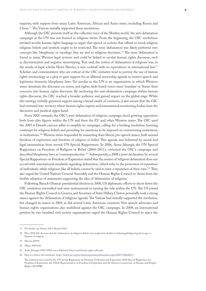majority, with support from many Latin American, African and Asian states, including Russia and China.17 The Vatican initially supported these resolutions.

Although the OIC presents itself as 'the collective voice of the Muslim world,' the anti-defamation campaign at the UN was not framed in religious terms. From the beginning, the OIC resolutions invoked secular human rights language to argue that speech or actions that offend or mock religion, religious beliefs and symbols ought to be restricted. The term 'defamation' was likely preferred over concepts like 'blasphemy' or 'sacrilege' that are tied to religious doctrines.18 The term 'defamation' is found in many Western legal systems and could be linked to secular human rights discourse, such as discrimination and negative stereotyping. That said, the notion of 'defamation of religions' was, in the words of legal scholar Heini Skorini, 'a new cocktail' with no equivalence in international law.19 Scholars and commentators who are critical of the OIC initiative tend to portray the use of human rights terminology as a ploy to gain support for an illiberal censorship agenda to restrict speech and legitimise domestic blasphemy laws. Yet insofar as the UN is an organisation in which Western states dominate the discourse on norms and rights, faith-based voices must 'translate' or 'frame' their concerns into human rights discourse. By anchoring the anti-defamation campaign within human rights discourse, the OIC reached a broader audience and gained impact on the global stage. While this strategy initially garnered support among a broad swath of countries, it also meant that the OIC had ventured into territory where human rights experts and international monitoring bodies have the discursive and juridical upper hand.

From 2005 onwards, the OIC's anti-defamation of religions campaign faced growing opposition both from elite figures within the UN and from the EU and other Western states. The OIC used the 2005-6 Danish cartoon affair to amplify its campaign, calling for a binding resolution 'banning contempt for religious beliefs and providing for sanctions to be imposed on contravening institutions or institutions.'20 Western states responded by reasserting their liberal, pro-speech stance, built around freedom of expression and freedom of religion or belief. This agenda was bolstered by moral and legal ammunition from several UN Special Rapporteurs. In 2006, Asma Jahangir, the UN Special Rapporteur on Freedom of Religion or Belief (2004–2011), criticised the OIC's campaign and described blasphemy laws as 'counterproductive.'<sup>21</sup> Subsequently, a 2008 a joint declaration by several Special Rapporteurs on Freedom of Expression stated that the notion of 'religious defamation' does not accord with international standards regarding defamation, 'which refer to the protection of reputation of individuals, while religions, like all beliefs, cannot be said to have a reputation of their own.'22 They also urged the United Nations General Assembly and the Human Rights Council, to 'desist from the further adoption of statements supporting the idea of 'defamation of religions.'

Following Barack Obama's presidential election in 2008, US diplomatic efforts to shoot down the OIC resolution intensified and were instrumental in turning the tide within the UN. The US joined the Human Rights Council in Geneva, and Secretary of State Hillary Clinton personally took a strong stance against the 'defamation of religions' agenda. The Vatican had initially supported the resolution, but changed its stance in 2009, as did several Latin American countries. Free speech advocates and human rights organisations also mobilised against the OIC campaign. In 2009, an international petition by two hundred civil society organisations urged the Human Rights Council to reject the

<sup>17</sup> For details, see Henne 2013; Skorini 2019.

<sup>18</sup> Moe (2021:94) observes that the 'defamation of religions' debate 'was rendered in Arabic as defaming/disfiguring the image or likeness of religion.'

<sup>19</sup> Skorini 2019:9.

<sup>20</sup> Meyer 2019:102.

<sup>21</sup> Asma Jahangir (1952-2018) was a Pakistani lawyer and human rights advocate.

<sup>22</sup> Here is a link to the statement:<https://www.oas.org/en/iachr/expression/showarticle.asp?artID=735&lID=1>

The statement was issued by the UN special Rapporteur on Freedom of Opinion and Expression, OAS Special Rapporteur on Freedom of Expression, the OSCE Representative on Freedom of Expression and the African Commission on Human and People's Rights (ACHPR).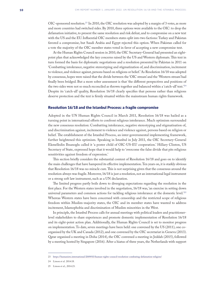<span id="page-9-0"></span>OIC-sponsored resolution.23 In 2010, the OIC resolution was adopted by a margin of 3 votes, as more and more countries had switched sides. By 2010, three options were available to the OIC: to drop the defamation initiative, to present the same resolution and risk defeat, and to compromise on a new text with the US and the EU. Influential OIC members states split into two factions: Turkey and Pakistan favored a compromise, but Saudi Arabia and Egypt rejected this option. When Pakistan called for a vote the majority of the OIC member states voted in favor of accepting a new compromise text.

At the Human Rights Council session in 2010, the OIC Secretary-General had presented an eightpoint plan that acknowledged the key concerns raised by the US and Western diplomats. This text in turn formed the basis for diplomatic negotiations and a resolution presented by Pakistan in 2011 on 'Combatting intolerance, negative stereotyping and stigmatization of, and discrimination, incitement to violence, and violence against, persons based on religions or belief.' As Resolution 16/18 was adopted by consensus, hopes were raised that the divide between the 'OIC stream' and the 'Western stream' had finally been bridged. But a more sober assessment is that 'the different perspectives and positions of the two sides were not so much reconciled as thrown together and balanced within a 'catch-all' text.'24 Despite its 'catch-all' quality, Resolution 16/18 clearly specifies that persons rather than religions deserve protection and the text is firmly situated within the mainstream human rights framework.

#### Resolution 16/18 and the Istanbul Process: a fragile compromise

Adopted in the UN Human Rights Council in March 2011, Resolution 16/18 was hailed as a turning point in international efforts to confront religious intolerance. Much optimism surrounded the new consensus resolution: Combatting intolerance, negative stereotyping and stigmatisation of, and discrimination against, incitement to violence and violence against, persons based on religion or belief. The establishment of the Istanbul Process, an inter-governmental implementing framework, further heightened this optimism. Speaking in Istanbul in July 2011, the OIC Secretary-General Ekmelledin Ihsanoglu called it 'a poster child of OIC-US-EU cooperation.' Hillary Clinton, US Secretary of State, expressed hope that it would help to 'overcome the false divide that pits religious sensitivities against freedom of expression.'

This section briefly considers the substantial content of Resolution 16/18 and goes on to identify the main challenges that have hampered its effective implementation. Ten years on, it is starkly obvious that Resolution 16/18 was no miracle cure. This is not surprising given that the consensus around the resolution always was fragile. Moreover, 16/18 is just a resolution, not an international legal instrument or a strong soft law instrument, such as a UN declaration.

The limited progress partly boils down to diverging expectations regarding the resolution in the first place. For the Western states involved in the negotiation, 16/18 was, 'an exercise in setting down universal parameters and common actions for tackling religious intolerance at the domestic level.'25 Whereas Western states have been concerned with censorship and the restricted scope of religious freedom within Muslim-majority states, the OIC and its member states have wanted to address incitement, Islamophobia and discrimination of Muslim minorities in the West.

In principle, the Istanbul Process calls for annual meetings with political leaders and practitionerlevel stakeholders to share experiences and promote domestic implementation of Resolution 16/18 and its eight-point action plan. Additionally, the Human Rights Council is set to monitor progress on implementation. To date, seven meetings have been held: one convened by the US (2011), one coorganised by the UK and Canada (2012), and one convened by the OIC secretariat in Geneva (2013). Qatar organised a meeting in Doha (2014), the OIC convened a meeting in Jeddah (2015), followed by a meeting hosted by Singapore (2016). After a hiatus of three years, the Netherlands with support

<sup>23</sup> <https://humanists.international/2009/03/human-rights-council-resolution-combating-defamation-religion/>

<sup>24</sup> Limon et al. 2014:18.

<sup>25</sup> Limon et al., 2014:23.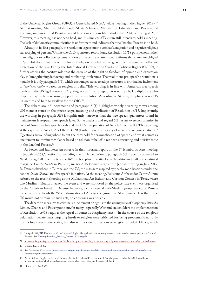of the Universal Rights Group (URG), a Geneva based NGO, held a meeting in the Hague (2019).26 At that meeting, Shafquat Mahmood, Pakistan's Federal Minister for Education and Professional Training announced that Pakistan would host a meeting in Islamabad in late 2020 or during 2021.27 However, this meeting has not been held, and it is unclear if Pakistan still intends to hold a meeting. The lack of diplomatic communication is unfortunate and indicates that the Istanbul Process is on hold.

Already in its first paragraph, the resolution urges states to combat 'denigration and negative religious stereotyping of persons.' Unlike the OIC-sponsored resolutions, Resolution 16/18 puts persons rather than religions or collective systems of ideas at the centre of attention. It affirms that states are obliged to 'prohibit discrimination on the basis of religion or belief and to guarantee the equal and effective protection of the law.' Citing the International Covenant on Civil and Political Rights (CCPR), it further affirms the positive role that the exercise of the right to freedom of opinion and expression play in 'strengthening democracy and combating intolerance.' The resolution's pro-speech orientation is notable: it is only paragraph  $5(f)$ , which encourages states to adopt 'measures to criminalize incitement to *imminent violence* based on religion or belief.' This wording is in line with American free speech ideals and the US legal concept of 'fighting words.' This paragraph was written by US diplomats who played a major role in securing support for the resolution. According to Skorini, the 'phrase was a US ultimatum and hard to swallow for the OIC.'28

The debate around incitement and paragraph 5 (f) highlights widely diverging views among UN member states on the precise scope, meaning and application of Resolution 16/18. Importantly, the wording in paragraph  $5(f)$  is significantly narrower than the free speech guarantees found in mainstream European hate speech laws. Some analysts and regard  $5(f)$  as an 'over-compromise' in favor of American free speech ideals and the US's interpretation of Article 19 of the ICCPR as coming at the expense of Article 20 of the ICCPR (Prohibition on advocacy of racial and religious hatred).29 Questions surrounding where to put the threshold for criminalisation of speech and what counts as 'incitement to imminent violence based on religion or belief ' have been a recurring and divisive topic in the Istanbul Process.30

As Power and Juul Petersen observe in their informal report on the  $5<sup>th</sup>$  Istanbul Process meeting in Jeddah (2015), 'questions surrounding the implementation of paragraph  $5(f)$  have the potential to "hold hostage" all other parts of the 16/18 action plan.' The attacks on the editor and staff of the satirical magazine *Charlie Hebdo* in Paris in January 2015 loomed large at the Jeddah meeting in July 2015. In France, elsewhere in Europe and the US, the massacre inspired sympathy mobilisations under the banner '*Je suis Charlie'* and free speech initiatives. At the meeting, Pakistan's Ambassador Zamir Akram referred to the recent shooting at the 'Muhammad Art Exhibit and Cartoon Contest' in Texas, where two Muslim militants attacked the event and were shot dead by the police. The event was organised by the American Freedom Defense Initiative, a controversial anti-Muslim group headed by Pamela Keller, who also heads the 'Stop Islamization of America' organisation. Akram made clear that if the US would not criminalise such acts, no consensus was possible.

The debate on measures to criminalise incitement brings us to the vexing issue of blasphemy laws. As Limon, Ghanea and Power point out, for many (especially Western) stakeholders the implementation of Resolution 16/18 requires the repeal of domestic blasphemy laws.31 In the course of the religious defamation debate, laws targeting insult to religion were criticised for being problematic not only from a free speech perspective, but also with a view to freedom of religion or belief. Hence, much

31 Limon et al., 2017:673.

<sup>26</sup> In April 2019, EU, Denmark and the Universal Rights Group held a stock-taking meeting that aimed to 're-invigorate the Istanbul Process.' See [Meeting Istanbul\\_Process\\_Geneva, 2019 \(1\).pdf](file:///C:\\Users\\karit\\AppData\\Local\\Microsoft\\Windows\\INetCache\\Content.Outlook\\881M3FYE\\Meeting_Istanbul_Process_Geneva_2020%20(1).pdf)

<sup>27</sup> <https://mofa.gov.pk/pakistan-to-host-8th-istanbul-process-meeting-on-countering-religious-intolerance-and-related-discriminato> 28 Skorini 2021:142-43.

<sup>29</sup> See Greenacre 2019, [https://www.universal-rights.org/blog/the-arc-of-the-covenant-the-unfinished-business-of-un-efforts-to](https://www.universal-rights.org/blog/the-arc-of-the-covenant-the-unfinished-business-of-un-efforts-to-combat-religious-intolerance/)[combat-religious-intolerance/](https://www.universal-rights.org/blog/the-arc-of-the-covenant-the-unfinished-business-of-un-efforts-to-combat-religious-intolerance/)

<sup>30</sup> At the 3rd meeting in the Istanbul Process, the Ambassador of Pakistan, stated that the process had so far failed to address incitement against Muslims and consensus was at a breaking point, see Limon et al. 2014.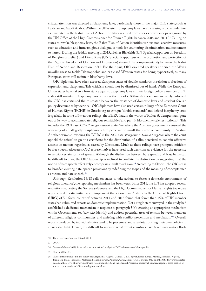critical attention was directed at blasphemy laws, particularly those in the major OIC states, such as Pakistan and Saudi Arabia. Within the UN-system, blasphemy laws have increasingly come under fire, as illustrated in the Rabat Plan of Action. The latter resulted from a series of workshops organised by the UN Office of the High Commissioner for Human Rights between 2008 and 2011.32 Calling on states to revoke blasphemy laws, the Rabat Plan of Action identifies various non-coercive measures, such as education and intra-religious dialogue, as tools for countering discrimination and incitement to hatred. During the Jeddah meeting in 2015, Heiner Bielefeldt (UN Special Rapporteur on Freedom of Religion or Belief) and David Kaye (UN Special Rapporteur on the promotion and protection of the Right to Freedom of Opinion and Expression) stressed the complementarity between the Rabat Plan of Action and Resolution 16/18. For their part, OIC-oriented speakers criticised the West's unwillingness to tackle Islamophobia and criticised Western states for being hypocritical, as many European states still maintain blasphemy laws.

OIC diplomats have often accused European states of 'double standards' in relation to freedom of expression and blasphemy. This criticism should not be dismissed out of hand. While the European Union states have taken a firm stance against blasphemy laws in their foreign policy, a number of EU states still maintain blasphemy provisions on their books. Although these laws are rarely enforced, the OIC has criticised the mismatch between the existence of domestic laws and strident foreign policy discourse as hypocritical. OIC diplomats have also used certain rulings of the European Court of Human Rights (ECHR) in Strasbourg to critique 'double standards' and defend blasphemy laws. Especially in some of its earlier rulings, the EHRC has, in the words of Koltay & Temperman, 'gone out of its way to accommodate religious sensitivities' and permit blasphemy-style restrictions. 33 This includes the 1994 case, *Otto-Premiger Institut v. Austria*, where the Austrian government censored the screening of an allegedly blasphemous film perceived to insult the Catholic community in Austria. Another example involving the EHRC is the 2006 case, *Wingrove v. United Kingdom*, where the court upheld the refusal to grant a certificate for the distribution of a film perceived to contain offensive attacks on matters regarded as sacred by Christians. Much as these rulings have prompted criticism by free speech advocates, OIC representatives have used such decisions as evidence for the necessity to restrict certain forms of speech. Although the distinction between hate speech and blasphemy can be difficult to draw, the OIC leadership is inclined to conflate the distinction by suggesting that the notion of hate speech effectively encompasses insult to religion.34 According to Skorini, the OIC seeks to 'broaden existing hate-speech provisions by redefining the scope and the meaning of concepts such as racism and hate speech.'35

Although Resolution 16/18 calls on states to take actions to foster 'a domestic environment of religious tolerance', the reporting mechanism has been weak. Since 2011, the UN has adopted several resolutions requesting the Secretary-General and the High Commissioner for Human Rights to prepare reports on domestic initiatives to implement the action plan. A study by the Universal Rights Group (URG) of '22 focus countries' between 2011 and 2013 found that fewer than 15% of UN member states had submitted reports on domestic implementation. Not a single state surveyed in the study had established a dedicated mechanism in response to paragraph 5(b): 'creating an appropriate mechanism within Governments to, *inter alia*, identify and address potential areas of tension between members of different religious communities, and assisting with conflict prevention and mediation.'36 Overall, reports produced by individual states tend to be piecemeal and anecdotal, putting their own policies in a favorable light. Hence, it is difficult to assess to what extent countries have taken systematic efforts

<sup>32</sup> For a brief overview, see Eltayeb 2019.

<sup>33</sup> 2017:5.

<sup>34</sup> See Ann Meyer (2019) for an informed and critical analysis of OIC's discourse on Islamophobia.

<sup>35</sup> Skorini 2019:134.

<sup>36</sup> The countries included in the survey are: Argentina, Algeria, Canada, Chile, Egypt, Israel, Kenya, Mexico, Morocco, Nigeria, Denmark, India, Indonesia, Malaysia, France, Norway, Pakistan, Qatar, Saudi Arabia, Turkey, UK, and the US. They were selected based on their level of involvement with Resolution 16/18 and the Istanbul Process, a somewhat balanced regional cross-section of states, representative of different religious traditions.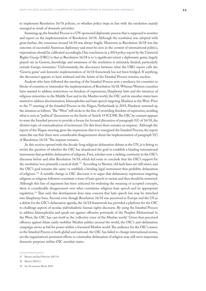to implement Resolution 16/18 policies, or whether policy steps in line with the resolution mainly emerged as result of domestic priorities.

Summing up, the Istanbul Process is a UN-sponsored diplomatic process that is supposed to monitor and report on the implementation of Resolution 16/18. Although the resolution was adopted with great fanfare, the consensus around 16/18 was always fragile. Moreover, as Resolution 16/18 was the outcome of successful American diplomacy and must be seen in the context of international politics, expectations should be calibrated accordingly. One conclusion in a 2014 policy report by the Universal Rights Group (URG) is that as Resolution 16/18 is to 'a significant extent a diplomatic game, largely played out in Geneva, knowledge and awareness of the resolution it extremely limited, particularly outside foreign ministries.' Unfortunately, the disconnect between what the URG report calls the 'Geneva game' and domestic implementation of 16/18 framework has not been bridged. If anything, the disconnect appears to have widened and the future of the Istanbul Process remains unclear.

Analysts who have followed the meeting of the Istanbul Process note a tendency for countries or blocks of countries to 'externalise' the implementation of Resolution 16/18. Whereas Western countries have wanted to address restrictions on freedom of expressions, blasphemy laws and the situation of religious minorities in the Middle East and in the Muslim world, the OIC and its member states have wanted to address discrimination, Islamophobia and hate speech targeting Muslims in the West. Prior to the 7th meeting of the Istanbul Process in the Hague, Netherlands in 2019, Hardacre summed up the situation as follows: 'The "West" still sticks to the line of overriding freedom of expression; avoiding what is seen as "political" discussions on the limits of Article 19 ICCPR. The OIC by contrast appears to want the Istanbul process to provide a forum for focused discussion of paragraph  $5(f)$  of  $16/18$ , the divisive topic of criminalization of incitement. On this front there remains an impasse.' Although the report of the Hague meeting gives the impression that it re-energised the Istanbul Process, the report states flat out that 'there were considerable disagreements about the implementation of paragraph  $5(f)$ of Resolution 16/18.' The impasse remains.

As this section opened with the decade-long religious defamation debate at the UN, it is fitting to revisit the question of whether the OIC has abandoned the goal to establish a binding international instrument that prohibits defamation of religions. First, scholars note a striking continuity in the OIC's discourse before and after Resolution 16/18, which led some to conclude that the OIC's support for the resolution 'was primarily a tactical shift.'37 According to Skorini, 'old fault lines are still intact, and the OIC's goal remains the same: to establish a binding legal instrument that prohibits defamation of religions.'38 A notable change in OIC discourse is to argue that defamatory expressions targeting religions or religious followers constitute a form of hate speech or racism and thus should be restricted. Although this line of argument has been criticised for widening the meaning of accepted concepts, there is considerable disagreement over what constitutes religious hate speech and its appropriate regulation.39 That said, this development does raise concern that hate speech law may be stretched into blasphemy bans. Second, even though Resolution 16/18 was perceived in Europe and the US as a defeat for the OIC's defamation agenda, the 16/18 framework has provided a platform for the OIC to challenge aspects of secular, individualistic human rights discourse. By using the Istanbul Process to address Islamophobia and speak out against offensive portrayals of the Prophet Muhammad in the West, the OIC has cast itself as the 'collective voice of the Muslim world.' Given that perceived offences against Islam easily mobilise Muslim publics around the world, the OIC's anti-defamation campaign serves as bid for power within a fractured Muslim world. The audience for the OIC's stance in the Istanbul Process is both global and national: the OIC has failed to change international norms, yet the organisation's persistent efforts to criminalise defamation of religion may still serve important domestic purposes within OIC member states.

<sup>37</sup> Skorini and Juul Peterson 2017:54.

<sup>38</sup> Skorini 2019:13.

<sup>39</sup> See for instance Moon 2018.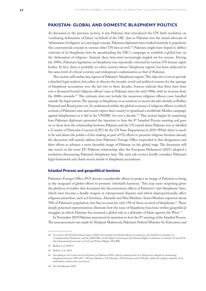## <span id="page-13-0"></span>PAKISTAN: GLOBAL AND DOMESTIC BLASPHEMY POLITICS

As discussed in the previous section, it was Pakistan that introduced the UN draft resolution on 'combating defamation of Islam' on behalf of the OIC. Just as Pakistan was the initial advocate of 'defamation of religions' as a new legal concept, Pakistani diplomats have worked tirelessly to popularise this controversial concept in various other UN fora as well.<sup>40</sup> Pakistan might have hoped to deflect criticism of its blasphemy laws by spearheading the OIC's campaign to establish a global ban on the 'defamation of religions.' Instead, these laws were increasingly singled out for censure. During the 1990s, Pakistani legislation on blasphemy was repeatedly criticised by various UN human rights bodies. In fact, there is probably no other country whose 'blasphemy regime' has been subjected to the same level of critical scrutiny and widespread condemnation as that of Pakistan.

This section will outline key aspects of Pakistan's 'blasphemy regime.' The objective is not to provide a detailed legal analysis, but rather to discern the broader social and political reasons for the upsurge of blasphemy accusations over the last two to three decades. Sources indicate that there have been over a thousand formal 'religious offense' cases in Pakistan since the mid-1980s, with an increase from the 2000s onwards.41 This estimate does not include the numerous religious offence cases handled outside the legal system. The upsurge in blasphemy in accusations in recent decades should, as Rollier, Frøystad and Ruud point out, 'be understood within the global economy of religious offence in which sections of Pakistan's state and society expect their country to spearhead a worldwide Muslim campaign against blasphemers, as it did at the UNHRC for over a decade.<sup>'42</sup> This section begins by examining how Pakistani diplomats presented the intention to host the 8<sup>th</sup> Istanbul Process meeting and goes on to show how the relationship between Pakistan and the US soured when Pakistan was re-labelled a 'Country of Particular Concern' (CPC) by the US State Department in 2019. While there is much to be said about the politics of list-making as part of US efforts to promote religious freedom abroad, the discussion will mainly address how Pakistan's Foreign Office responded to this designation and their efforts to advance a more favorable image of Pakistan on the global stage. The discussion will also touch on the tense EU-Pakistan relationship after the European Parliament (2021) adopted a resolution denouncing Pakistan's blasphemy laws. The next sub-section briefly considers Pakistan's legal framework and charts recent trends in blasphemy accusations.

#### Istanbul Process and geopolitical tensions

Pakistan's Foreign Office (FO) devotes considerable efforts to project an image of Pakistan as being in the vanguard of global efforts to promote 'interfaith harmony.' This may seem surprising given the plethora of studies that document the discriminatory effects of Pakistan's 'anti-blasphemy' laws, which have become a deadly weapon in interpersonal disputes and which disproportionally affect religious minorities, such as Christians, Ahmadis and Shia Muslims. Sunni Muslims represent about 70% of Pakistan's population, but they account for only 15% of those accused of blasphemy.43 These deeply polarised representations illustrate how the issue of blasphemy functions within geopolitical struggles in which Pakistan has assumed a global role as a defender of Islam against the West.<sup>44</sup>

In November 2019 Pakistan announced its intention to host the 8<sup>th</sup> meeting of the Istanbul Process. The announcement was made by Shafquat Mahmood, Pakistan's Federal Minister for Education and

<sup>40</sup> As noted in the Freedom House report (2010), this includes the Durban Review Conference, the Ad Hoc Committee on Complementary Standards, and the 2008 Office of the High Commissioner for Human Rights Conference on Articles 19 and 20 of the International Covenant on Civil and Political Rights (ICCPR).

<sup>41</sup> Rollier et al. 2019:3.

<sup>42</sup> Rollier, et al. 2019.

<sup>43</sup> According to the Centre for Social Justice in Pakistan (2019), which examined data of 1,549 persons alleged of committing blasphemy between 1987-2017, 720 were Muslims, 516 Ahmadis, 238 Christian and 31 Hindus, while the religious identity of 44 individuals could not be ascertained..

<sup>44</sup> See Schaflechner 2019.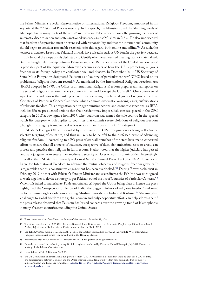the Prime Minister's Special Representative on International Religious Freedom, announced in his keynote at the 7<sup>th</sup> Istanbul Process meeting. In his speech, the Minister noted the 'alarming levels of Islamophobia in many parts of the world' and expressed 'deep concern over the growing incidents of systematic discrimination and state sanctioned violence against Muslims in India.' He also 'underscored that freedom of expression must be exercised with responsibility and that the international community should begin to consider reasonable restrictions in this regard, both online and offline.'45 As such, the keynote articulated issues that Pakistani officials have raised in various UN fora in the past few decades.

It is beyond the scope of this desk study to identify why the announced meeting has not materialised. But the fraught relationship between Pakistan and the US in the context of the US-led 'war on terror' is probably part of the equation. Moreover, certain aspects of how the US is promoting religious freedom in its foreign policy are confrontational and divisive. In December 2019, US Secretary of State, Mike Pompeo re-designated Pakistan as a 'country of particular concern' (CPC) based on its problematic 'religious freedom' record.<sup>46</sup> As mandated by the International Religious Freedom Act (IRFA) adopted in 1998, the Office of International Religious Freedom prepares annual reports on the state of religious freedom in every country in the world, except the US itself.47 One controversial aspect of this endeavor is the ranking of countries according to relative degrees of religious freedom. 'Countries of Particular Concern' are those which commit 'systematic, ongoing, egregious' violations of religious freedom. This designation can trigger punitive actions and economic sanctions, as IRFA includes fifteen 'presidential actions' that the President may impose. Pakistan was placed in the CPC category in 2018, a downgrade from 2017, when Pakistan was named the sole country in the 'special watch list' category, which applies to countries that commit severe violations of religious freedom (though this category is understood as less serious than those in the CPC category).

Pakistan's Foreign Office responded by dismissing the CPC-designation as being 'reflective of selective targeting of countries, and thus unlikely to be helpful to the professed cause of advancing religious freedom.'48 According to a FO press release, all branches of the state have made 'concerted efforts to ensure that all citizens of Pakistan, irrespective of faith, denomination, caste or creed, can profess and practice their religion in full freedom.' It also noted that the higher judiciary has passed landmark judgements to ensure 'the sanctity and security of places of worship of minorities.' Interestingly, it recalled that Pakistan had recently welcomed Senator Samuel Brownback, the US Ambassador at Large for International Freedom 'to advance the mutual objectives of religious freedom globally. It is regrettable that this constructive engagement has been overlooked.'49 During Brownback's visit in February 2019, he met with Pakistan's Foreign Minister and according to the FO, 'the two sides agreed to work together to devise a strategy to get Pakistan out of the list of Countries of Particular Concern.'50 When this failed to materialize, Pakistani officials critiqued the US for being biased. Hence the press highlighted the 'conspicuous omission of India, the biggest violator of religious freedom' and went on to list human rights violations affecting Muslim minorities in India and Kashmir.<sup>51</sup> Stressing that 'challenges to global freedom are a global concern and only cooperative efforts can help address them,' the press release observed that Pakistan has 'raised concerns over the growing trend of Islamophobia in many Western countries, including the United States.'

49 Brownback assumed this office in January 2018, having been nominated by President Donald Trump in July 2017. Democrats initially blocked the confirmation vote.

<sup>45</sup> These quotes are taken from Pakistan's Foreign Office website, November 18, 2019.

<sup>46</sup> The other countries on the 2019 CPC-list were Burma, China, Eritrea, Iran, the Democratic People's Republic of Korea, Saudi Arabia, Tajikistan and Turkmenistan. Pakistan remained on the list in 2020.

<sup>47</sup> See Telle (2018) for more information on the political contestation surrounding IRFA and the Frank R. Wolf International Religious Freedom Act, which is an amendment of the IRFA legislation.

<sup>48</sup> Press release 555/2019, December 24. 'Pakistan rejects US designation on religious freedom.'

<sup>50</sup> Press Release 63/2019, February 22, 2019.

<sup>51</sup> The US Commission on International Religious Freedom (USCIRF) has recommended that India be added as a CPC country. The disagreements between USCIRF and the Office of International Religious Freedom have been picked up by the press in both Pakistan and India. See for instance: [Pakistan Rejects U.S. 'Particular Concern' Designation on Religious Freedom](https://www.newsweekpakistan.com/pakistan-rejects-u-s-particular-concern-designation-on-religious-freedom/)  [\(newsweekpakistan.com\).](https://www.newsweekpakistan.com/pakistan-rejects-u-s-particular-concern-designation-on-religious-freedom/)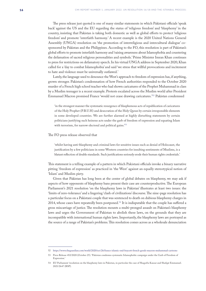The press release just quoted is one of many similar statements in which Pakistani officials 'speak back' against the US and the EU regarding the status of 'religious freedom' and 'blasphemy' in the country, insisting that Pakistan is taking both domestic as well as global efforts to protect 'religious freedom' and promote 'interfaith harmony.' A recent example is the 2020 United Nations General Assembly (UNGA) resolution on 'the promotion of interreligious and intercultural dialogue' cosponsored by Pakistan and the Philippines. According to the FO, this resolution is part of Pakistan's global efforts to promote interfaith harmony and 'raising awareness about Islamophobia and countering the defamation of sacred religious personalities and symbols.' Prime Minister Imran Khan continues to press for restrictions on defamatory speech. In his virtual UNGA address in September 2020, Khan called for a 'day to combat Islamophobia' and said 'we stress that willful provocations and incitement to hate and violence must be universally outlawed.'

Lately, the language used to denounce the West's approach to freedom of expression has, if anything, grown stronger. Pakistan's condemnation of how French authorities responded to the October 2020 murder of a French high school teacher who had shown caricatures of the Prophet Muhammad in class by a Muslim teenager is a recent example. Protests escalated across the Muslim world after President Emmanuel Macron promised France 'would not cease drawing caricatures.'52 Pakistan condemned

'in the strongest manner the systematic resurgence of blasphemous acts of republication of caricatures of the Holy Prophet (P.B.U.H) and desecration of the Holy Quran by certain irresponsible elements in some developed countries. We are further alarmed at highly disturbing statements by certain politicians justifying such heinous acts under the garb of freedom of expression and equating Islam with terrorism, for narrow electoral and political gains.'53

#### The FO press release observed that

'whilst having anti-blasphemy and criminal laws for sensitive issues such as denial of Holocaust, the justification by a few politicians in some Western countries for insulting sentiments of Muslims, is a blatant reflection of double standards. Such justifications seriously erode their human rights credentials.'

This statement is a telling example of a pattern in which Pakistani officials invoke a binary narrative pitting 'freedom of expression' as practiced in 'the West' against an equally stereotypical notion of 'Islam' and Muslim piety.

Given that Pakistan has long been at the center of global debates on blasphemy, we may ask if aspects of how opponents of blasphemy bans present their case are counterproductive. The European Parliament's 2021 resolution 'on the blasphemy laws in Pakistan' illustrates at least two issues: the 'limits of zero-tolerance' and a lingering 'clash of civilizations' discourse. The nine-page resolution has a particular focus on a Pakistani couple that was sentenced to death on dubious blasphemy charges in 2014, whose cases have repeatedly been postponed.<sup>54</sup> It is indisputable that the couple has suffered a gross miscarriage of justice. The resolution mounts a multi-pronged assault on Pakistan's blasphemy laws and urges the Government of Pakistan to abolish these laws, on the grounds that they are incompatible with international human rights laws. Importantly, the blasphemy laws are portrayed as the source of a range of Pakistan's problems. This resolution comes across as a wholesale denunciation

<sup>52</sup> <https://www.theguardian.com/world/2020/oct/26/france-islamic-end-boycott-french-goods-macron-muhammad-cartoons>

<sup>53</sup> Press Release 452/2020 (October 25). 'Pakistan condemns systematic Islamophobic campaign under the Garb of Freedom of Expression.'

<sup>54</sup> EU Parliament 'resolution on the blasphemy laws in Pakistan, in particular the case of Shagufta Kausar and Shafqat Emmanuel. 2021/2647 (RSP).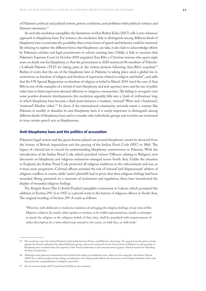<span id="page-16-0"></span>of Pakistan's political and judicial system, prison conditions, and problems with political violence and Islamist extremism.55

As such this resolution exemplifies the limitations of what Robert Kahn (2017) calls 'a zero tolerance' approach to blasphemy bans. For instance, the resolution fails to distinguish among different kinds of blasphemy bans or entertain the possibility that certain forms of speech and behavior could be restricted. By refusing to explore the different forms that blasphemy can take, it also fails to acknowledge efforts by Pakistani scholars and legal practitioners to reform existing laws. Oddly, it fails to mention that Pakistan's Supreme Court in October 2018 acquitted Asia Bibi, a Christian woman who spent eight years on death row for blasphemy, or that the government in 2020 sentenced 86 members of Tehreeki-Labbaik Pakistan (TLP) for taking parts in the violent protests following Asia Bibi's acquittal.<sup>56</sup> Rather, it notes that the use of the blasphemy laws in Pakistan 'is taking place amid a global rise in restrictions on freedom of religion and freedom of expression related to religion and belief ', and adds that the UN Special Rapporteur on freedom of religion or belief in March 2019 'cited the case of Asia Bibi as one of the examples of a revival of anti-blasphemy and anti-apostacy laws and the use of public order laws to limit expression deemed offensive to religious communities.' By failing to recognise even some positive domestic developments, this resolution arguably falls into a 'clash of civilizations' trap, in which blasphemy bans become a flash point between a 'modern', 'rational' 'West' and a 'backward', 'irrational' Muslim 'other'.57 In short, if the international community seriously wants a country like Pakistan to modify or abandon its anti-blasphemy laws, it is surely important to distinguish among different kinds of blasphemy bans and to consider why individuals, groups and societies are motivated to treat certain speech acts as blasphemous.

#### Anti-blasphemy laws and the politics of accusation

Pakistan's legal system and the great dramas played out around blasphemy cannot be divorced from the history of British imperialism and the passing of the Indian Penal Code (IPC) in 1860. The legacy of colonial law is crucial for understanding blasphemy controversies in Pakistan. With the introduction of the Indian Penal Code, which punished various 'Offences relating to Religion', new discourses on blasphemy and religious sentiments emerged across South Asia. Unlike the situation in England, the Indian Penal Code protected all religious traditions in the subcontinent and was, as it were, more progressive. Colonial officers assumed the role of 'rational' and 'dispassionate' arbiters of religious conflicts in courts, while 'native' plaintiffs had to prove that their religious feelings had been wounded. Being premised on a structure of incitement and regulation, these laws incentivised the display of wounded religious feelings.

The *Rangila Rasul* (The Colorful Prophet) pamphlet controversy in Lahore, which prompted the addition of Section 295-A in 1927, is a pivotal event in the history of religious offence in South Asia. The original wording of Section 295-A reads as follows:

'Whoever, with deliberate or malicious intention of outraging the religious feelings of any class of His Majesty's subjects, by words, either spoken or written, or by visible representations, insults or attempts to insult the religion or the religious beliefs of that class, shall be punished with imprisonment of either description for a term which may extend to two years, or with fine, or with both.'

<sup>55</sup> The resolution notes the strained bilateral relationship between France and Pakistan, observing, 'the repeated and deceptive attacks against the French authorities by radical Pakistani groups and recent statements by the Government of Pakistan on the grounds of blasphemy have escalated since the response of the French authorities to the terrorist attack against a French teacher for defending freedom of expression…'.

<sup>56</sup> Although some political commentators have hailed this ruling as a landmark event, others are less sanguine. See Imran Ahmed (2021) for a critical analysis of the ruling, including how the ruling tacitly affirms the discourses on the Islamic identity of the state that justify the marginalisation of religious minorities.

<sup>57</sup> See for instance Kahn (2017) and Ahmed (2010) on this tendency.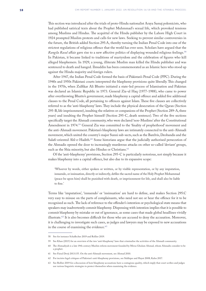This section was introduced after the trials of proto-Hindu nationalist Araya Samaj polemicists, who had published satirical texts about the Prophet Muhmmad's sexual life, which provoked tensions among Muslims and Hindus. The acquittal of the Hindu publisher by the Lahore High Court in 1924 prompted Muslim protests and calls for new laws. Seeking to prevent similar controversies in the future, the British added Section 295:A, thereby turning the Indian Penal Code into one of the strictest regulations of religious offence that the world has ever seen. Scholars have argued that the *Rangila Rasul* affair gave rise to a new affective politics of displaying wounded religious feelings.58 In Pakistan, it became linked to traditions of martyrdom and the celebration of figures who kill alleged blasphemers. In 1929, a young, illiterate Muslim man killed the Hindu publisher and was sentenced to death and hanged. Ilmuddin has been commemorated as an Islamic hero who stood up against the Hindu majority and foreign rulers.

After 1947, the Indian Penal Code formed the basis of Pakistan's Penal Code (PPC). During the 1940s and 1950s Pakistani courts interpreted the blasphemy provisions quite liberally. This changed in the 1970s, when Zulfikar Ali Bhutto initiated a state-led process of Islamisation and Pakistan was declared an Islamic Republic in 1973. General Zia-ul Haq (1977-1988), who came to power after overthrowing Bhutto's government, made blasphemy a capital offence and added five additional clauses to the Penal Code, all pertaining to offences against Islam. These five clauses are collectively referred to as the 'anti-blasphemy' laws. They include the physical desecration of the Quran (Section 295-B, life imprisonment), insulting the relatives or companions of the Prophet (Section 289-A, three years) and insulting the Prophet himself (Section 295-C, death sentence). Two of the five sections specifically target the Ahmadi community, who were declared 'non-Muslims' after the Constitutional Amendment in 1974.<sup>59</sup> General Zia was committed to the 'finality of prophethood' movement and the anti-Ahmadi movement. Pakistan's blasphemy laws are intimately connected to the anti-Ahmadi movement, which united the country's major Sunni sub-sects, such as the Barelvis, Deobandis and the Salafi-oriented Ahl-e-Hadith.60 Some historians argue that the judicially authorised persecution of the Ahmadis opened the door to increasingly murderous attacks on other so-called 'deviant' groups, such as the Shia minority, but also Hindus or Christians.<sup>61</sup>

Of the 'anti-blasphemy' provisions, Section 295-C is particularly notorious, not simply because it makes blasphemy into a capital offence, but also due to its expansive scope:

'Whoever by words, either spoken or written, or by visible representation, or by any imputation, innuendo, or insinuation, directly or indirectly, defiles the sacred name of the Holy Prophet Mohammad (peace be upon him) shall be punished with death, or imprisonment for life, and shall also be liable to fine.'

Terms like 'imputation', 'innuendo' or 'insinuation' are hard to define, and makes Section 295:C very easy to misuse on the parts of complainants, who need not see or hear the offence for it to be recognised as such. The lack of reference to the offender's intention or psychological state means that speakers may inadvertently commit blasphemy. Dispensing with intention implies that it is possible to commit blasphemy by mistake or out of ignorance, as some cases that made global headlines vividly illustrate.62 It is also becomes difficult for those who are accused to deny the accusation. Moreover, it is challenging to investigate such cases, as judges and lawyers may be exposed to new accusations in the course of examining the evidence.<sup>63</sup>

<sup>58</sup> See for instance Schaflecher 2019 and Rollier 2019.

<sup>59</sup> See Khan (2015) for an overview of the two 'anti-blasphemy' laws that criminalise the activities of the Ahmadi community.

<sup>60</sup> The Ahmadiyah is a late 19th century Muslim reform movement founded by Mirza Ghulam Ahmad, whom Ahmadis consider to be a prophet.

<sup>61</sup> See Faisal Devji 2013:155. On the anti-Ahmadi movement, see Ahmad 2010.

<sup>62</sup> For incisive legal critiques of Pakistan's anti-blasphemy provisions, see Siddique and Hayat 2008; Kahn 2017.

<sup>63</sup> See Rollier 2019 for a discussion of how blasphemy accusations have a contagious quality, which imply that court scribes and judges use various linguistic strategies to protect themselves when examining the evidence.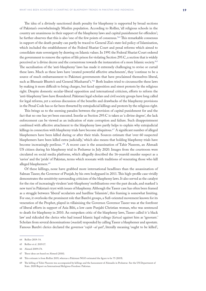The idea of a divinely sanctioned death penalty for blasphemy is supported by broad sections of Pakistan's overwhelmingly Muslim population. According to Rollier, 'all religious schools in the country are unanimous in their support of the blasphemy laws and capital punishment for offenders'; he further observes that this is also 'one of the few points of consensus.'64 This remarkable consensus in support of the death penalty can partly be traced to General Zia's state-led policy of Islamisation, which included the establishment of the Federal Shariat Court and penal reforms which aimed to consolidate state sovereignty by drawing on Islamic values. In 1991 the Federal Shariat Court ordered the government to remove the option of life prison for violating Section 295:C, a section that is widely perceived as 'a divine decree and the cornerstone towards the instauration of a more Islamic society.'65 The sacralisation of the 'anti-blasphemy' laws has made it extremely challenging to revise or curtail these laws. Much as these laws have 'created powerful affective attachments', they 'continue to be a source of much embarrassment to Pakistani governments that have proclaimed themselves liberal, such as Bhenazir Bhutto's and General Musharraf's.<sup>766</sup> Both leaders tried to circumscribe these laws by making it more difficult to bring charges, but faced opposition and street protests by the religious right. Despite domestic secular-liberal opposition and international criticism, efforts to reform the 'anti-blasphemy' laws have floundered. Pakistani legal scholars and civil society groups have long called for legal reforms, yet a serious discussion of the benefits and drawbacks of the blasphemy provisions in the Penal Code has so far been thwarted by extrajudicial killings and protests by the religious right.

This brings us to the seeming paradox between the provision of capital punishment for and the fact that no one has yet been executed. Insofar as Section 295:C is taken as 'a divine degree', the lack enforcement can be viewed as an indication of state corruption and failure. Such disappointment combined with affective attachment to the blasphemy laws partly helps to explain why extrajudicial killings in connection with blasphemy trials have become ubiquitous.<sup>67</sup> A significant number of alleged blasphemers have been killed during or after their trials. Sources estimate that 'over 60 suspected blasphemers have been killed extra-judicially,' which also means that holding blasphemy trials have become increasingly perilous. 68 A recent case is the assassination of Tahir Naseem, an Ahmadi US citizen during his blasphemy trial in Peshawar in July 2020. Images from the courtroom were circulated on social media platforms, which allegedly described the 16-yearold murder suspect as a 'savior' and the 'pride' of Pakistan, terms which resonate with traditions of venerating those who kill alleged blasphemers.<sup>69</sup>

Of these killings, none have grabbed more international headlines than the assassination of Salman Taseer, the Governor of Punjab, by his own bodyguard in 2011. This high-profile case vividly demonstrates the sensitivity surrounding criticism of the blasphemy laws. It also served as the catalyst for the rise of increasingly virulent 'anti-blasphemy' mobilisations over the past decade, and marked 'a new turn' in Pakistan's tryst with issues of blasphemy. Although the Taseer case has often been framed as a struggle between 'liberal' secularists and hardline 'Islamists', this framing is somewhat limiting. For one, it overlooks the prominent role that Barelvi groups, a Sufi-oriented movement known for its veneration of the Prophet, played in villainising the Governor. Governor Taseer was at the forefront of liberal efforts in support of Asia Bibi, a low caste Punjabi Christian woman, who was sentenced to death for blasphemy in 2010. An outspoken critic of the blasphemy laws, Taseer called it 'a black law' and ridiculed the clerics who had issued Islamic legal rulings (f*atwa*) against him as 'ignorant.' Scholars from several denominations (*maslak*) responded by calling Taseer a blasphemer and apostate. Famous Barelvi clerics declared the governor '*vājib -al qatl*', literally meaning 'ought to be killed',

<sup>64</sup> Rollier 2019: 54.

<sup>65</sup> Rollier et al. 2019:17.

<sup>66</sup> Ahmed 2009:174.

<sup>67</sup> These ideas are based on Ahmed (2010).

<sup>68</sup> This estimate is from Rollier 2019, whereas a Pakistani NGO estimated the figure to be 75 (2019).

<sup>69</sup> The killing of Tahir Naseem was accompanied by killings and the harassment of Ahmadis in Peshawar. See the US Department of State. 2020 Report on International Religious Freedom: Pakistan.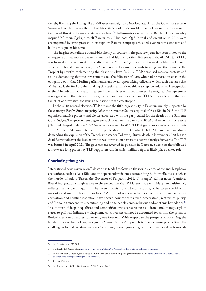<span id="page-19-0"></span>thereby licensing the killing. The anti-Taseer campaign also involved attacks on the Governor's secular Western lifestyle in ways that linked his criticism of Pakistan's blasphemy laws to 'the discourse on the global threat to Islam and its vast archive.'70 Inflammatory sermons by Barelvi clerics probably inspired Mumtaz Qadri, himself Barelvi, to kill his boss. Qadri's trial and execution in 2016 were accompanied by street protests in his support. Barelvi groups spearheaded a veneration campaign and built a mosque in his name.

The heightened salience of anti-blasphemy discourses in the past few years has been linked to the emergence of new mass movements and radical Islamist parties. Tehreek-e Labbaik Pakistan (TLP) was formed in Karachi in 2015 the aftermath of Mumtaz Qadri's arrest. Formed by Khadim Hussain Rizvi, a firebrand Barelvi cleric, TLP has mobilised around demands to safeguard the honor of the Prophet by strictly implementing the blasphemy laws. In 2017, TLP organised massive protests and sit-ins, demanding that the government sack the Minister of Law, who had proposed to change the obligatory oath that Muslim parliamentarians swear upon taking office, in which each declares that Muhamad is the final prophet, making this optional. TLP saw this as a step towards official recognition of the Ahmadi minority, and threatened the minister with death unless he resigned. An agreement was signed with the interior minister, the proposal was scrapped and TLP's leader allegedly thanked the chief of army staff 'for saving the nation from a catastrophe.'71

In the 2018 general elections TLP became the fifth largest party in Pakistan, mainly supported by the country's Barelvi Sunni majority. After the Supreme Court's acquittal of Asia Bibi in 2018, the TLP organised massive protests and clerics associated with the party called for the death of the Supreme Court judges. The government began to crack down on the party, and Rizvi and many members were jailed and charged under the 1997 Anti-Terrorism Act. In 2020, TLP staged massive anti-France protests after President Macron defended the republication of the Charlie Hebdo Muhammad caricatures, demanding the expulsion of the French ambassador. Following Rizvi's death in November 2020, his son Saad Rizvi took over the leadership but was arrested on terrorism charges shortly afterwards. The TLP was banned in April 2021. The government reversed its position in October, a decision that followed a two-week long protest by TLP supporters and in which military figures likely played a key role.72

#### Concluding thoughts

International news coverage on Pakistan has tended to focus on the iconic victims of the anti-blasphemy accusations, such as Asia Bibi, and the spectacular violence surrounding high-profile cases, such as the murder of Salam Taseer, the Governor of Punjab in 2011. 'This angle', Rollier notes, 'comforts liberal indignation and gives rise to the perception that Pakistan's issue with blasphemy ultimately reflects irreducible antagonisms between Islamists and liberal seculars, or between the Muslim majority and marginalities minorities.'73 Anthropologists who have explored the micro-politics of accusation and conflict-resolution have shown how concerns over 'desecration', matters of 'purity' and 'honour' transcend this partitioning and unite people across religious and/or ethnic boundaries.74 In a context of deep inequalities and competition over scarce resources – from land, money, asylum status to political influence – blasphemy controversies cannot be accounted for within the prism of limited freedom of expression or religious freedom. With respect to the prospect of reforming the harsh anti-blasphemy laws, to signal a 'zero-tolerance' approach is likely counterproductive. The challenge is to find constructive ways to aid progressive figures in government and legal professionals

<sup>70</sup> See Schaflecher 2019:208.

<sup>71</sup> Tarik Ali, 2018 LRB blog. <https://www.lrb.co.uk/blog/2017/november/the-crisis-in-pakistan-continues>

<sup>72</sup> Military Chief General Qamar Javed Bajwa played a role in securing an agreement with TLP. [https://thediplomat.com/2021/11/](https://thediplomat.com/2021/11/pakistans-tlp-emerges-stronger-from-protests/) [pakistans-tlp-emerges-stronger-from-protests/](https://thediplomat.com/2021/11/pakistans-tlp-emerges-stronger-from-protests/)

<sup>73</sup> Rollier 2019:49.

<sup>74</sup> See for instance Rollier 2019, Ashraf 2018, Ahmed 2010.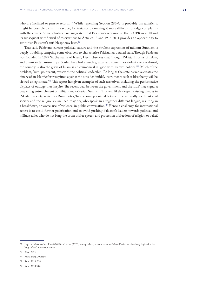who are inclined to pursue reform.<sup>75</sup> While repealing Section 295-C is probably unrealistic, it might be possible to limit its scope, for instance by making it more difficult to lodge complaints with the courts. Some scholars have suggested that Pakistan's accession to the ICCPR in 2010 and its subsequent withdrawal of reservations to Articles 18 and 19 in 2011 provides an opportunity to scrutinise Pakistan's anti-blasphemy laws.76

That said, Pakistan's current political culture and the virulent expression of militant Sunnism is deeply troubling, tempting some observers to characterise Pakistan as a failed state. Though Pakistan was founded in 1947 'in the name of Islam', Devji observes that 'though Pakistani forms of Islam, and Sunni sectarianism in particular, have had a much greater and sometimes violent success abroad, the country is also the grave of Islam as an ecumenical religion with its own politics.'77 Much of the problem, Rumi points out, rests with the political leadership: 'As long as the state narrative creates the binary of an Islamic fortress pitted against the outsider-infidel, instruments such as blasphemy will be viewed as legitimate.'78 This report has given examples of such narratives, including the performative displays of outrage they inspire. The recent deal between the government and the TLP may signal a deepening entrenchment of militant majoritarian Sunnism. This will likely deepen existing divides in Pakistani society, which, as Rumi notes, 'has become polarized between the avowedly secularist civil society and the religiously inclined majority, who speak an altogether different langue, resulting in a breakdown, or worse, use of violence, in public conversation.'79Hence a challenge for international actors is to avoid further polarisation and to avoid pushing Pakistan's leaders towards political and military allies who do not bang the drum of free speech and protection of freedom of religion or belief.

- 77 Faisal Devji 2013:248.
- 78 Rumi 2018: 334.
- 79 Rumi 2018:334.

<sup>75</sup> Legal scholars, such as Rumi (2018) and Kahn (2017), among others, are concerned with how Pakistan's blasphemy legislation has let go of an 'intent requirement'.

<sup>76</sup> Khan 2015.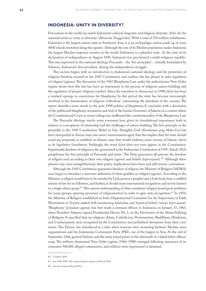## <span id="page-21-0"></span>INDONESIA: UNITY IN DIVERSITY?

Few nations in the world can match Indonesia's cultural, linguistic and religious diversity. After all, the national motto is 'unity in diversity' (*Bhinneka Tunggal Ika*). With a total of 270 million inhabitants, Indonesia is the largest nation-state in Southeast Asia; it is an archipelagic nation made up of some 4000 islands stretched along the equator. Although the size of its Muslim population makes Indonesia the largest Muslim-majority country in the world, Indonesia is a pluralist state. At the time of its declaration of independence in August 1945, Indonesia was proclaimed a multi-religious republic. This was expressed in the national ideology Pancasila – the 'five principles' – initially formulated by Sukarno, Indonesia's first president, during the independence struggle.

This section begins with an introduction to Indonesia's national ideology and the protection of religious freedom ensured in the 1945 Constitution and outlines the key phases in state regulation of 'religion' (*agama*). The discussion of the 1965 Blasphemy Law under the authoritarian New Order regime shows how this law has been an instrument in the process of religious nation-building and the regulation of 'proper' religious conduct. Since the transition to democracy in 1998, there has been a marked upsurge in convictions for blasphemy. In this period the state has become increasingly involved in the demarcation of religious 'orthodoxy', attenuating the pluralism of the country. The report identifies seven trends in the post-1998 politics of blasphemy. It concludes with a discussion of the politicised blasphemy accusation and trial of the former Governor of Jakarta in a context where the Constitutional Court in recent rulings has reaffirmed the constitutionality of the Blasphemy Law.

The Pancasila ideology merits some comment here given its foundational importance both in relation to conceptions of citizenship and the challenges of nation-building. The first principle in the preamble to the 1945 Constitution 'Belief in One Almighty God' (*Ketuhanan yang Maha Esa*) has been interpreted in diverse ways, but most commentators agree that this implies that the state should avoid any proposals to establish an Islamic state that would enshrine some version of Islamic *sharia* as its legislative foundation. Strikingly, the word *Islam* does not even appear in the Constitution. Importantly, freedom of religion is also guaranteed in the Indonesian Constitution of 1945. Article 29(2) paraphrases the first principle of Pancasila and states: 'The State guarantees all persons the freedom of religion each according to their own religion (*agama*) and beliefs (*kepercayaan*).'80 Although these phrases may seem straightforward, their policy implications have been and still remain contentious.

Although the 1945 Constitution guarantees freedom of religion, the Ministry of Religion (MORA) soon began to introduce a narrower definition of what qualifies as 'religion' (*agama*). According to the Ministry, 'a religion would have to be revealed by God, possess a prophet and a holy book, have a codified system of law for its followers, and further, it should enjoy international recognition and not be limited to a single ethnic group.'81 This narrow understanding of what constitutes 'religion' posed great problems for many groups, spurring processes of 'religionisation' in order to gain state recognition.82 In 1954, the Ministry of Religion established an Inter-Departmental Committee for the Supervision of Faith Movements in Society tasked with monitoring heterodox and 'mystical beliefs' (*aliran kepercayaan*). 'Blasphemy' (*penodaan agama*) was first made a criminal offence in Indonesia on January 27, 1965, when President Sukarno signed Presidential Decree No. 1, on the Prevention of the Abuse/Sullying of Religion. It specified that six religions (Islam, Catholicism, Protestantism, Buddhism, Hinduism, and Confucianism) were recognised by the Constitution and prohibited 'deviations' from their 'core' tenets. This Decree was introduced at a time when tensions were mounting between Muslim mass organisations and the Indonesian Communist Party (PKI), one of the largest in Asia. At the end of September 1966, general Suharto and the army seized power in the aftermath of a failed leftist officers' coup. The military-dominated New Order regime (1966-1998) emerged following massacres of an estimated 500,000 alleged communists; and millions were imprisoned or detained.

<sup>80</sup> Lindsey 2018.

<sup>81</sup> See Telle 2018. The original quotes appear in Picard 2012.

<sup>82</sup> See for instance Picard 2012.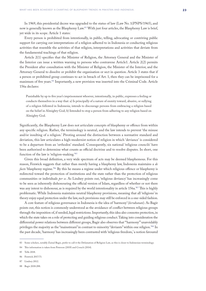In 1969, this presidential decree was upgraded to the status of law (Law No. 1(PNPS/1965), and now is generally known as the Blasphemy Law.83 With just four articles, the Blasphemy Law is brief, yet wide in its scope. Article 1 states:

Every person is prohibited from intentionally, in public, telling, advocating or contriving public support for carrying out interpretations of a religion adhered to in Indonesia or conducting religious activities that resemble the activities of that religion, interpretations and activities that deviate from the fundamental teachings of that religion.

Article 2(1) specifies that the Minister of Religion, the Attorney General and the Minister of the Interior can issue a written warning to persons who contravene Article1. Article 2(2) permits the President after consultation with the Minister of Religion, the Minister of the Interior, and the Attorney-General to dissolve or prohibit the organisation or sect in question. Article 3 states that if a person or prohibited group continues to act in breach of Art. 1, then they can be imprisoned for a maximum of five years.84 Importantly, a new provision was inserted into the Criminal Code. Article 156a declares:

Punishable by up to five year's imprisonment whoever, intentionally, in public, expresses a feeling or conducts themselves in a way that: a) Is principally of a nature of enmity toward, abusive, or sullying of a religion followed in Indonesia; intends to discourage persons from embracing a religion based on the belief in Almighty God; b) Intended to stop a person from adhering to any religion based on Almighty God.

Significantly, the Blasphemy Law does not articulate concepts of blasphemy or offence from within any specific religion. Rather, the terminology is neutral, and the law intends to prevent 'the misuse and/or insulting of a religion.' Pivoting around the distinction between a normative standard and deviation, this law articulates a high-modernist notion of religion in which 'deviance' is considered to be a departure from an 'orthodox' standard. Consequently, six national 'religious councils' have been authorised to determine what counts as official doctrine and to resolve disputes. In short, one function of the law is 'religion-making.'85

Given this broad definition, a very wide spectrum of acts may be deemed blasphemous. For this reason, Fenwick suggests that rather than merely having a blasphemy law, Indonesia maintains a *de facto* 'blasphemy regime.'<sup>86</sup> By this he means a regime under which religious offence or blasphemy is redirected toward the protection of institutions and the state rather than the protection of religious communities or individuals *per se*. As Lindsey points out, 'religious deviancy' has increasingly come to be seen as inherently dishonouring the official version of Islam, regardless of whether or not there was any intent to dishonour, as is required by the world intentionality in article 156a.'87 This is highly problematic. While Indonesia maintains neutral blasphemy provisions, meaning that all 'religions' in theory enjoy equal protection under the law, such provisions may still be enforced in a one-sided fashion.

A core feature of religious governance in Indonesia is the idea of 'harmony' (*kerukunan*). As Bagir points out, this notion is commonly understood as the avoidance of conflict between religious groups through the imposition of, if needed, legal restrictions. Importantly, this idea also connotes protection, in which the state takes on a role of protecting and guiding religious conduct. Taking into consideration the differential power relations between different groups, Bagir also observes that '"harmony"' unavoidably privileges the majority as the "mainstream" in contrast to minority "deviants" within one religion.'88 In the past decade, 'harmony' has increasingly been contrasted with 'religious freedom,' a notion favoured

<sup>83</sup> Some scholars, notably Zainal Bagir, prefer to call it the Defamation of Religion Law, as this is closer to Indonesian terminology.

<sup>84</sup> This information is taken from Peterson (2019) and Crouch (2014).

<sup>85</sup> Telle 2018.

<sup>86</sup> Fenwick 2017:73.

<sup>87</sup> Lindsey 2012.

<sup>88</sup> Bagir 2018:288.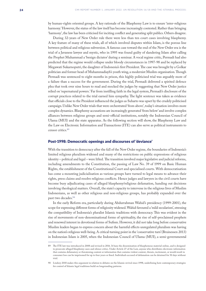<span id="page-23-0"></span>by human-rights oriented groups. A key rationale of the Blasphemy Law is to ensure 'inter-religious harmony.' However, the status of the law itself has become increasingly contested. Rather than bringing 'harmony', the law has been criticised for inciting conflict and generating split publics. Others disagree.

During 32-years of New Order rule there were less than ten court cases involving blasphemy. A key feature of many of these trials, all of which involved disputes within Islam, is the porous line between political and religious subversion. A famous case toward the end of the New Order era is the trial of a Javanese lawyer and mystic, who in 1995 was found guilty of slandering Islam after calling the Prophet Muhammad a 'benign dictator' during a seminar. A vocal regime critic, Permadi had also predicted that the regime would collapse under bloody circumstances in 1997-98 and be replaced by Megawati Sukarnoputri, the daughter of Indonesia's first President. The case was brought by a Golkar politician and former head of Muhammadiayh's youth wing, a modernist Muslim organisation. Though Permadi was sentenced to eight months in prison, this highly politicised trial was arguably more of a failure than a success for the government. During the trial, Permadi delivered a spirited defence plea that took over nine hours to read and mocked the judges by suggesting that New Order justice relied on 'supernatural powers.' Far from instilling faith in the legal system, Permadi's disclosure of the corrupt practices related to the trial earned him sympathy. The light sentence was taken as evidence that officials close to the President influenced the judges as Suharto was upset by the crudely politicised campaign.Unlike New Order trials that were orchestrated 'from above', today's situation involves more complex dynamics. Blasphemy accusations are increasingly generated 'from below' and involve complex alliances between religious groups and semi-official institutions, notably the Indonesian Council of Ulama (MUI) and the state apparatus. As the following section will show, the Blasphemy Law and the Law on Electronic Information and Transactions (ITE) can also serve as political instruments to censor critics.89

## Post-1998: Democratic openings and discourses of 'deviance'

With the transition to democracy after the fall of the New Order regime, the boundaries of Indonesia's limited religious pluralism widened and many of the restrictions on public expressions of religious identity – political and legal – were lifted. The transition involved major legislative and judicial reforms, including amendments to the Constitution, the passing of Law No. 39 of 1999 on Basic Human Rights, the establishment of the Constitutional Court and specialised courts. With democratisation has come a mounting judicialisation as various groups have turned to legal means to advance their rights, press claims and resolve religious conflicts. Hence judges and lawyers in the civil courts have become busy adjudicating cases of alleged blasphemy/religious defamation, handing out decisions involving theological matters. Overall, the state's capacity to intervene in the religious lives of Muslim Indonesians, as well as other religious and non-religious groups, has probably expanded over the past two decades.<sup>90</sup>

In the early Reform era, particularly during Abdurrahman Wahid's presidency (1999-2001), the scope for expressing different forms of religiosity widened. Wahid favoured a 'mild secularism', stressing the compatibility of Indonesia's pluralist Islamic traditions with democracy. This was evident in the rise of movements of non-denominational forms of spirituality, the rise of self-proclaimed prophets and renewed interest in devotional forms of Sufism. However, it did not take long before conservative Muslim leaders began to express concern about the harmful effects unregulated pluralism was having on the nation's religious well-being. A critical turning point in the 'conservative turn' (Bruinessen 2013) in Indonesian Islam is 2005, when the Indonesian Council of Ulama (MUI), a semi-governmental

<sup>89</sup> The ITE law was introduced in 2008 and revised in 2016. It bans the dissemination of blasphemous material online, and is designed to prosecute alleged blasphemy cases and silence critics. Under Article 27 of the Law, anyone who distributes electronic information that contains defamatory or threatening content or information that contains violent content, threats, incitement, or would result in consumer loss can be imprisoned for up to four years or fined. Individuals accused of defamation can be detained for 50 days without trial.

<sup>90</sup> Lindsey 2018 makes this argument in relation to debates on the Islamic revival since 1998, underlining how contemporary strategies for control of Islamic legal traditions build on longstanding patterns.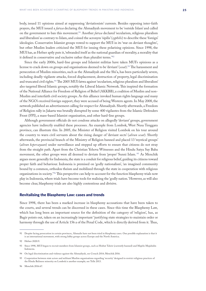<span id="page-24-0"></span>body, issued 11 opinions aimed at suppressing 'deviationists' currents. Besides opposing inter-faith prayers, the MUI issued a *fatwa* declaring the Ahmadiyah movement to be 'outside Islam' and called on the government to ban this movement.91 Another *fatwa* declared 'secularism, religious pluralism and liberalism' as contrary to Islam, and coined the acronym 'sipilis' (*syphilis*) to describe these 'foreign' ideologies. Conservative Islamist groups vowed to support the MUI in its 'war on deviant thoughts', but other Muslim leaders criticised the MUI for issuing these polarising opinions. Since 1998, the MUI has, as Hefner aptly puts it, 'rebranded itself as the national guardian of morality, a morality that it defined in conservative and exclusive rather than pluralist terms.'92

Since the early 2000s, hard-line groups and Islamist militias have taken MUI's opinions as a license to crack down on groups and organisations deemed to be 'deviant' (*sesat*).93 The harassment and persecution of Muslim minorities, such as the Ahmadiyah and the Shi'a, has been particularly severe, including deadly vigilante attacks, forced displacement, destruction of property, legal discrimination and truncated civil rights.<sup>94</sup> The 2005 MUI fatwa against 'secularism, religious pluralism and liberalism' also targeted liberal Islamic groups, notably the Liberal Islamic Network. This inspired the formation of the National Alliance for Freedom of Religion of Belief (AKKBB), a coalition of Muslim and non-Muslim and interfaith civil society groups. As this alliance invoked human rights language and many of the NGO's received foreign support, they were accused of being Western agents. In May 2008, the network published an advertisement calling for respect for Ahmadiyah. Shortly afterwards, a Freedom of Religion rally in Jakarta was brutally disrupted by some 400 vigilantes from the Islamic Defenders Front (FPI), a mass-based Islamist organisation, and other hard-line groups.

Although government officials do not condone attacks on allegedly 'deviant' groups, government agencies have indirectly enabled these processes. An example from Lombok, West Nusa Tenggara province, can illustrate this. In 2005, the Minister of Religion visited Lombok on his tour around the country to warn civil servants about the rising danger of 'deviant sects' (*aliran sesat*). Shortly afterwards, the provincial branch of the Ministry of Religion banned and placed 13 'mystical groups' (*aliran kepercayaan*) under surveillance and stepped up efforts to ensure that citizens do not stray from the straight path. Apart from the Christian Yehova Witnesses and the Hindu Satya Say Baba movement, the other groups were all deemed to deviate from 'proper' Sunni Islam.<sup>95</sup> As Menchik argues more generally for Indonesia, the state is a conduit for religious belief, guiding its citizens toward proper faith and behaviour. Indonesia is premised on 'godly nationalism', 'an imagined community bound by a common, orthodox theism and mobilized through the state in cooperation with religious organizations in society.' <sup>96</sup> This perspective can help to account for the function blasphemy trials now play in Indonesia, where trials have become tools for realising the 'godly nation.' However, as will also become clear, blasphemy trials are also highly contentious and divisive.

#### Revitalising the Blasphemy Law: cases and trends

Since 1998, there has been a marked increase in blasphemy accusations that have been taken to the courts, and several trends can be discerned in these cases. Since this time the Blasphemy Law, which has long been an important source for the definition of the category of 'religion', has, as Bagir points out, taken on an increasingly important 'justifying state strategies to maintain order or harmony through the use of Article 156 a of the Penal Code, which is directly derived from it. Thus,

96 Menchik 2016:67.

<sup>91</sup> Despite facing persecution in certain provinces, Ahmadis have not been tried in blasphemy cases. One possible explanation is that it is an international movement, with strong lobby groups across Europe and the North America.

<sup>92</sup> Hefner 2020:9.

<sup>93</sup> Since 1998, MUI began to recruit members from Islamist groups, such as Hizbut Tahrir (currently banned) and Majelis Mujahidin Indonesia.

<sup>94</sup> On legal discrimination and violence against the Ahmadiyah, see Crouch 2014; Menchik 2016.

<sup>95</sup> Cooperation between state actors and militant Muslim organisations regarding 'security' designed to restrict religious practices of the Hindu Balinese minority on Lombok is another example; see Telle 2013.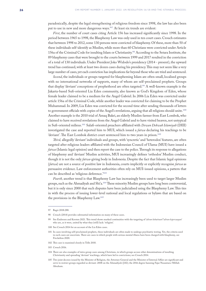paradoxically, despite the legal strengthening of religious freedom since 1998, the law has also been put to use in new and more dangerous ways.'97 At least six trends are evident:

*First*, the number of court cases citing Article 156 has increased significantly since 1998. In the period between 1965 to 1998, the Blasphemy Law was only used in ten court cases. Crouch estimates that between 1998 to 2012, some 130 persons were convicted of blasphemy. Of these, more than 50 of these individuals self-identify as Muslim, while more than 60 Christians were convicted under Article 156a of the Criminal Code for insulting Islam or Christianity.98 According to the Setara Institute, the 89 blasphemy cases that were brought to the courts between 1999 and 2017 resulted in the conviction of a total of 130 individuals. Under President Joko Widodo's presidency (2014 - present), the upward trend has continued, with at least two dozen cases during his presidency. This may not seem like a very large number of cases, yet each conviction has implications far beyond those who are tried and sentenced.

*Second*, the individuals or groups targeted for blaspheming Islam are often small, localised groups with no international networks of supports, many of whom are self-proclaimed prophets. Groups that display 'deviant' conceptions of prophethood are often targeted.99 A well-known example is the Jakarta-based Sufi-oriented Lia Eden community, also known as God's Kingdom of Eden, whose female leader claimed to be a medium for the Angel Gabriel. In 2006 Lia Eden was convicted under article 156a of the Criminal Code, while another leader was convicted for claiming to be the Prophet Muhammad. In 2009, Lia Eden was convicted for the second time after sending thousands of letters to government officials with copies of the Angel's revelations, arguing that all religions should unite.100 Another example is the 2010 trial of Amaq Bakri, an elderly Muslim farmer from East Lombok, who claimed to have received revelations from the Angel Gabriel and to have visited heaven, not untypical in Sufi-oriented milieus.101 Salafi-oriented preachers affiliated with *Dewan Dekwah Islamiyah* (DIII) investigated the case and reported him to MUI, which issued a *fatwa* declaring his teachings to be 'deviant'. The East Lombok district court sentenced him to two years in prison.<sup>102</sup>

*Third,* allegedly 'deviant' individuals and groups, with 'syncretic' and 'heterodox' features, are often targeted after religious leaders affiliated with the Indonesian Council of Ulama (MUI) have issued a *fatwa* (Islamic legal opinion) and then report the case to the police. Through its response to allegations of blasphemy and 'deviant' Muslim activities, MUI increasingly defines 'orthodox' Muslim conduct, though it is not the only *fatwa*-giving body in Indonesia. Despite the fact that Islamic legal opinions (*fatwa*) are not a source of positive law in Indonesia, courts implicitly or explicitly recognise *fatwa* as persuasive evidence. Law enforcement authorities often rely on MUI-issued opinions, a pattern that can be described as 'religious deference.'103

*Fourth,* another trend is that Blasphemy Law has increasingly been used to target larger Muslim groups, such as the Ahmadiyah and Shi'a.104 These minority Muslim groups have long been controversial, but it is only since 2000 that such disputes have been judicialised using the Blasphemy Law. This ties in with the process of issuing lower-level national and local regulations or bylaws that are based on the provisions in the Blasphemy Law.105

103 Crouch 2016.

104 There are also examples of intra-group cases among Christians, in which groups accuse other denominations of insulting Christianity and spreading 'deviant' teachings, which have led to convictions; see Crouch 2014.

<sup>97</sup> Bagir 2018:288.

<sup>98</sup> Crouch (2014) provides substantial information on many of these cases.

<sup>99</sup> See Endresen and Kersten 2021. This trend shows marked continuities with the targeting of '*aliran kebatinan*'/'*aliran kepercaayan*' who are, as it were, united by what they (still) lack: 'religion'.

<sup>100</sup> See Crouch 2014 for an account of the Lia Eden cases.

<sup>101</sup> In cases involving self-proclaimed prophets, these individuals are often made to undergo psychiatric testing. Yet, the criteria used in such cases are uncertain. There are cases in which people with serious mental illness have been charged with blasphemy, see Freckelton 2020.

<sup>102</sup> This case is examined closely in Telle 2018.

<sup>105</sup> Two joint decrees issued by the Minister of Religion, the Attorney General and the Minister of Internal Affair are significant and serve to restrict groups regarded as deviant: 2008 on the Ahmadiyah (JAI); the 2016 degree banning Fajar Nusantara /Millah Abraham.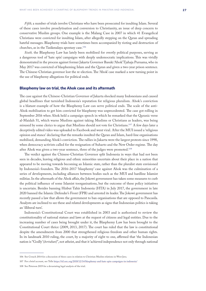<span id="page-26-0"></span>*Fifth,* a number of trials involve Christians who have been prosecuted for insulting Islam. Several of these cases involve proselytisation and conversion to Christianity, an issue of deep concern to conservative Muslim groups. One example is the Malang Case in 2007 in which 41 Evangelical Christians were convicted for insulting Islam, after allegedly stepping on the Quran and spreading hateful messages. Blasphemy trials have sometimes been accompanied by rioting and destruction of churches, as in the Tasikmalaya apostasy case.<sup>106</sup>

*Sixth,* the Blasphemy Law has lately been mobilised for overtly political purposes, serving as a dangerous tool of 'hate spin' campaigns with deeply undemocratic implications. This was vividly demonstrated in the process against former Jakarta Governor Basuki 'Ahok' Tjahaja Purnama, who in May 2017 was convicted of blaspheming Islam and the Quran and given a two-year prison sentence. The Chinese-Christian governor lost the re-election. The 'Ahok' case marked a new turning point in the use of blasphemy allegations for political ends.

#### Blasphemy law on trial, the Ahok case and its aftermath

The case against the Chinese-Christian Governor of Jakarta shocked many Indonesians and caused global headlines that tarnished Indonesia's reputation for religious pluralism. Ahok's conviction is a blatant example of how the Blasphemy Law can serve political ends. The scale of the anti-Ahok mobilisation to get him convicted for blasphemy was unprecedented. The case got rolling in September 2016 when Ahok held a campaign speech in which he remarked that the Quranic verse al-Maidah 51, which warns Muslims against taking Muslims or Christians as leaders, was being misused by some clerics to argue that Muslims should not vote for Christians.107 A few days later a deceptively edited video was uploaded to Facebook and went viral. After the MUI issued a 'religious opinion and stance' declaring that the remarks insulted the Quran and Islam, hard-line organisations mobilised, demanding Ahok's conviction. The rallies in Jakarta were the largest protests since 1998, when democracy activists called for the resignation of Suharto and the New Order regime. The day after Ahok was given a two-year sentence, three of the judges were promoted.108

The verdict against the Chinese-Christian Governor split Indonesia in ways that had not been seen in decades, leaving religious and ethnic minorities uncertain about their place in a nation that appeared to be moving towards becoming an Islamic state, rather than the pluralist state envisioned by Indonesia's founders. The 2016-2017 'blasphemy' case against Ahok was the culmination of a series of developments, including alliances between bodies such as the MUI and hardline Islamist militias. In the aftermath of the Ahok affair, the Jokowi government has taken some measures to curb the political influence of some Islamist toorganisations, but the outcome of these policy initiatives is uncertain. Besides banning Hizbut Tahir Indonesia (HTA) in July 2017, the government in late 2020 banned the Islamic Defender's Front (FPB) and arrested its leader. The Jokowi government has recently passed a law that allows the government to ban organisations that are opposed to Pancasila. Analysts are inclined to see these and related developments as signs that Indonesian politics is taking an 'illiberal turn'.

Indonesia's Constitutional Court was established in 2003 and is authorised to review the constitutionality of national statues and laws at the request of citizens and legal entities. Due to the increasing number of cases being brought under it, the Blasphemy Law has been brought to the Constitutional Court thrice (2009, 2013, 2017). The court has ruled that the law is constitutional despite the amendments from 2000 that strengthened religious freedom and other human rights. In its landmark 2010 ruling, the court, by a majority of eight to one, affirmed that 'the Indonesian nation is "Godly' (*bertuhan*)", not atheist, and that it 'achieved independence not only through national

<sup>106</sup> See Crouch 2014 for a discussion of these cases in relation to Christian Muslim relations in West Java.

<sup>107</sup> For a brief account, see Telle<https://tif.ssrc.org/2018/12/14/blasphemy-and-hate-spin-campaigns-in-indonesia/>

<sup>108</sup> See Peterson 2019 for a devastating legal analysis of the trial.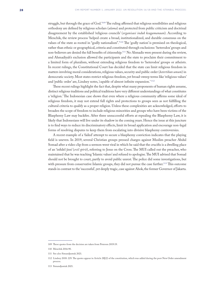struggle, but through the grace of God.'109 The ruling affirmed that religious sensibilities and religious orthodoxy are defined by religious scholars (*ulama*) and protected from public criticism and doctrinal disagreement by the established 'religious councils' (*organisasi induk keagamanaan*). According to Menchik, the review process 'helped create a broad, institutionalized, and durable consensus on the values of the state as rooted in "godly nationalism".'110 The 'godly nation' is premised on theological, rather than ethnic or geographical, criteria and constituted through exclusions: 'heterodox' groups and non-believers are denied the full benefits of citizenship.111 No Ahmadis were present during the review, and Ahmadiyah's exclusion allowed the participants and the state to proclaim their commitment to a limited form of pluralism, without extending religious freedom to 'heterodox' groups or atheists. In recent rulings, the Constitutional Court has decided that the state can limit religious freedom in matters involving moral considerations, religious values, security and public order (*ketertiban umum*) in democratic society. Most states restrict religious freedom, yet broad-sweep terms like 'religious values' and 'public order' are, Lindsey notes, 'capable of almost infinite expansion.' 112

These recent rulings highlight the fact that, despite what many proponents of human rights assume, distinct religious traditions and political traditions have very different understandings of what constitutes a 'religion.' The Indonesian case shows that even where a religious community affirms some ideal of religious freedom, it may not extend full rights and protections to groups seen as not fulfilling the cultural criteria to qualify as a proper religion. Unless these complexities are acknowledged, efforts to broaden the scope of freedom to include religious minorities and groups who have been victims of the Blasphemy Law may backfire. After three unsuccessful efforts at repealing the Blasphemy Law, it is likely that Indonesians will live under its shadow in the coming years. Hence the issue at this juncture is to find ways to reduce its discriminatory effects, limit its broad application and encourage non-legal forms of resolving disputes to keep them from escalating into divisive blasphemy controversies.

A recent example of a 'failed' attempt to secure a blasphemy conviction indicates that the playing field is uneven. In 2019, several Christian groups pressed charges against Muslim preacher Abdul Somad after a video clip from a sermon went viral in which he said that the crucifix is a dwelling place of an 'infidel jinn' (*evil spirit*), referring to Jesus on the Cross. The MUI called out the preacher, who maintained that he was teaching 'Islamic values' and refused to apologise. The MUI advised that Somad should not be brought to court, partly to avoid public unrest. The police did some investigations, but with pressure from conservative Islamic groups, they did not pursue the case further.<sup>113</sup> This outcome stands in contrast to the 'successful', yet deeply tragic, case against Ahok, the former Governor of Jakarta.

<sup>109</sup> These quotes from the decision are taken from Petersen 2019:19.

<sup>110</sup> Menchik 2016:90.

<sup>111</sup> See also Simandjuntak 2021.

<sup>112</sup> Lindsey 2018: 229. The quotes appear in Article 28J(2) of the constitution, which was added during the post-New Order amendment process.

<sup>113</sup> Simandjuntak 2021.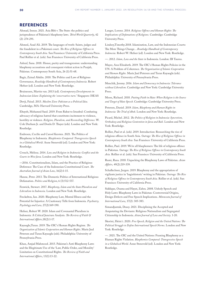## <span id="page-29-0"></span>**REFERENCES**

Ahmad, Imran. 2021. Asia Bibi v. The State: the politics and jurisprudence of Pakistan's blasphemy laws. *Third World Quarterly*, 42 (2): 274-291.

Ahmed, Asad Ali. 2019. The languages of truth: Saints, judges and the fraudulent in a Pakistani court. *The Rise of Religious Offence in Contemporary South Asia.* San Fransisco: University of California Press. Paul Rollier et al. (eds). San Fransisco: University of California Press.

Ashraf, Sana. 2018. Honor, purity and transgression: understanding blasphemy accusations and consequent violent action in Punjab, Pakistan. Contemporary South Asia, 26 (1):51-68.

Bagir, Zainal Abidin. 2018. The Politics and Law of Religious Governance, *Routledge Handbook of Contemporary Indonesia*. Robert Hefner (ed). London and New York: Routledge.

Bruinessen, Martin van. 2013 (ed). *Contemporary Developments in Indonesian Islam: Explaining the 'conservative turn.*' Singapore: ISEAS

Devji, Faisal. 2013. *Muslim Zion: Pakistan as a Political Idea*. Cambridge, MA: Harvard University Press.

Eltayeb, Mohamed Saed. 2019. From Rabat to Istanbul: Combating advocacy of religious hatred that constitutes incitement to violence, hostility or violence. *Religion, Pluralism, and Reconciling Difference*. W. Cole Durham Jr. and Donlu D. Thayer (eds). London and New York: Routledge.

Endresen, Cecilie and Carool Kersten. 2021. The Politics of Blasphemy in Indonesia. *Blasphemies Compared: Transgressive Speech in a Globalised World*. Anne Stensvold (ed). London and New York: Routledge.

Crouch, Melissa. 2014. *Law and Religion in Indonesia: Conflict and the Courts in West Java*. London and New York: Routledge.

—2016. Constitutionalism, Islam, and the Practice of Religious Deference: The Case of the Indonesian Constitutional Court. *The Australian Journal of Asian Law*, 16(2):1-15.

Hanne, Peter. 2013. The Domestic Politics of International Religious Defamation. *Politics and Religion*, 6 (3):512-537.

Fenwick, Stewart. 2017. *Blasphemy, Islam and the State:Pluralism and Liberalism in Indonesia*. London and New York: Routledge.

Freckelton, Ian. 2020. Blasphemy Law, Mental Illness and the Potential for Injustice: A Cautionary Telle from Indonesia. *Psychiatry, Psychology and Law,* 27(2):169-190.

Hefner, Robert W. 2020. Islam and Covenantal Pluralism in Indonesia: A Critical Juncture Analysis. *The Review of Faith & International Affairs,*18(2):1-17.

Kayaoglu,Turan. 2019. The OIC's Human Rights Regime. *The Organization of Islamic Cooperation and Human Rights*. Marie Juul Petersen and Turan Kayaoglu (eds). Philadelphia: University of Pennsylvania Press.

Khan, Amjad Mahmood. 2015. Pakistan's Anti-Blasphemy Laws and the Illegitimate Use of the 'Law, Public Order, and Morality' Limitation on Constitutional Rights. *The Review of Faith and International Affairs*, 13(1):13-22.

Langer, Lorenz. 2014. *Religious Offence and Human Rights: The Implications of Defamations of Religions.* Cambridge: Cambridge University Press.

Lindsey,Timothy.2018. Islamization, Law, and the Indonesian Courts: The More Things Change…*Routledge Handbook of Contemporary Indonesia.* Robert W. Hefner (ed). London and New York: Routledge.

—. 2012. *Islam, Law and the State in* Indonesia. London: IB Taurus.

Mayer, Ann Elizabeth. 2019. The OIC's Human Rights Policies in the UN: A Problem of Coherence. *The Organization of Islamic Cooperation and Human Rights*. Marie Juul Petersen and Turan Kayaoglu (eds). Philadelphia: University of Pennsylvania Press.

Menchik, Jeremy. 2016. *Islam and Democracy in Indonesia: Tolerance without Liberalism*. Cambridge and New York: Cambridge University Press.

Moon, Richard. 2018. *Putting Faith in Hate: When Religion is the Source and Target of Hate Speech*. Cambridge: Cambridge University Press.

Petersen, Daniel. 2019. *Islam, Blasphemy and Human Rights in Indonesia: The Trial of Ahok*. London and New York: Routledge.

Picard, Michel. 2012. *The Politics of Religion in Indonesia: Syncretism, Orthodoxy and Religious Contention in Java and Bali.* London and New York: Routledge.

Rollier, Paul et al. (eds). 2019. Introduction: Researching the rise of religious offence in South Asia. *Outrage: The Rise of Religious Offence in Contemporary South Asia.* San Fransisco: University of California Press.

Rollier, Paul. 2019. We're all blasphemers: The life of religious offence in Pakistan. *Outrage: The Rise of Religious Offence in Contemporary South Asia.* Rollier et al. (eds). San Fransisco: University of California Press.

Rumi, Raza. 2018. Unpacking the Blasphemy Laws of Pakistan. *Asian Affairs,* 49(2):219-339.

Schaflechner, Jurgen. 2019. Blasphemy and the appropriation of vigilante justice in 'hagiohistoric' writing in Pakistan. *Outrage: The Rise of Religious Offence in Contemporary South Asia.* Rollier et al. (eds). San Fransisco: University of California Press.

Siddique, Osama and Hayat, Zahra. 2008. Unholy Speech and Holy Laws: Blasphemy Laws in Pakistan: Controversial Origins, Design Defects and Free Speech Implications. *Minnesota Journal of International Law*, 17(2): 305-383.

Simandjuntak, Deasy. 2021. Disciplining the Accepted and Amputating the Deviants: Religious Nationalism and Segregated Citizenship in Indonesia. *Asian Journal of Law and Society*. 1-20.

Skorini, Heini i. 2020. *Free Speech, Religion and the United Nations: The Political Struggle to Define International Speech Norms*. London and New York: Routledge.

—. 2021. The OIC and the United Nations: Framing Blasphemy as a Human Rights Violation. *Blasphemies Compared: Transgressive Speech in a Globalised World*. Anne Stensvold (ed). London and New York: Routledge.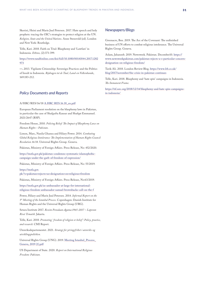Skorini, Heini and Marie Juul Petersen. 2017. Hate speech and holy prophets: tracing the OIC's strategies to protect religion at the UN. *Religion, State and the United Nations*. Anne Stensvold (ed). London and New York: Routledge.

Telle, Kari. 2018. Faith on Trial: Blasphemy and 'Lawfare' in Indonesia. *Ethnos,* (2):371-399.

[https://www.tandfonline.com/doi/full/10.1080/00141844.2017.1282](https://www.tandfonline.com/doi/full/10.1080/00141844.2017.1282973) [973](https://www.tandfonline.com/doi/full/10.1080/00141844.2017.1282973)

**—.** 2013. Vigilante Citizenship: Sovereign Practices and the Politics of Insult in Indonesia. *Bijdragen tot de Taal, Land-en Volkenkund*e, 169:183-212.

### *Policy Documents and Reports*

#### A/HRC/RES/16/18 [A.HRC.RES.16.18\\_en.pdf](file:///C:\Users\karit\OneDrive%20-%20Chr.%20Michelsen%20Institute\Blasphemy%20UD\A.HRC.RES.16.18_en.pdf)

European Parliament resolution on the blasphemy laws in Pakistan, in particular the case of Shafgufta Kausar and Shafqat Emmanuel. 2021/2647 (RSP).

Freedom House, 2010. *Policing Belief: The Impact of Blasphemy Laws on Human Rights – Pakistan*.

Limon, Marc, Nazila Ghanea and Hilary Power. 2014. *Combating Global Religious Intolerance: The Implementation of Human Rights Council Resolution 16/18*. Universal Rights Group. Geneva.

Pakistan, Ministry of Foreign Affairs. Press Release, No: 452/2020.

[https://mofa.gov.pk/pakistan-condemns-systematic-islamophobic](https://mofa.gov.pk/pakistan-condemns-systematic-islamophobic-campaign-under-the-garb-of-freedom-of-expression/)[campaign-under-the-garb-of-freedom-of-expression/](https://mofa.gov.pk/pakistan-condemns-systematic-islamophobic-campaign-under-the-garb-of-freedom-of-expression/)

Pakistan, Ministry of Foreign Affairs. Press Release, No: 55/2019.

[https://mofa.gov.](https://mofa.gov.pk/?s=pakistan+rejects+us+designation+on+religious+freedom)

[pk/?s=pakistan+rejects+us+designation+on+religious+freedom](https://mofa.gov.pk/?s=pakistan+rejects+us+designation+on+religious+freedom)

Pakistan, Ministry of Foreign Affairs. Press Release, No:63/2019.

[https://mofa.gov.pk/us-ambassador-at-large-for-international](https://mofa.gov.pk/us-ambassador-at-large-for-international-religious-freedom-ambassador-samuel-brownbacks-call-on-the-f)[religious-freedom-ambassador-samuel-brownbacks-call-on-the-f](https://mofa.gov.pk/us-ambassador-at-large-for-international-religious-freedom-ambassador-samuel-brownbacks-call-on-the-f)

Power, Hilary and Marie Juul Petersen. 2014. *Informal Report on the 5th Meeting of the Istanbul Process*. Copenhagen: Danish Institute for Human Rights and the Universal Rights Group (URG).

Setara Institute 2017. *Rezim Penodaan Agama:1965-2017* – *Laporan Riset Tematik*. Jakarta.

Telle, Kari. 2018. *Promoting ' freedom of religion or belief ': Policy, practice, and research.* CMI Report.

Utenriksdepartementet. 2021. *Strategi for ytringsfrihet i utenriks-og utviklingspolitiken.*

Universal Rights Group (UNG). 2019. [Meeting Istanbul\\_Process\\_](file:///C:\Users\karit\AppData\Local\Microsoft\Windows\INetCache\Content.Outlook\881M3FYE\Meeting_Istanbul_Process_Geneva_2020%20(1).pdf) [Geneva, 2019 \(1\).pdf](file:///C:\Users\karit\AppData\Local\Microsoft\Windows\INetCache\Content.Outlook\881M3FYE\Meeting_Istanbul_Process_Geneva_2020%20(1).pdf)

US Department of State. 2020. *Report on International Religious Freedom: Pakistan.*

#### *Newspapers/Blogs*

Greenacre, Ben. 2019. The Arc of the Covenant: The unfinished business of UN efforts to combat religious intolerance. The Universal Rights Group. Geneva.

Aslam, Jahanzeb. 2019. Newsweek. Pakistan. December10. [https://](https://www.newsweekpakistan.com/pakistan-rejects-u-s-particular-concern-designation-on-religious-freedom/) [www.newsweekpakistan.com/pakistan-rejects-u-s-particular-concern](https://www.newsweekpakistan.com/pakistan-rejects-u-s-particular-concern-designation-on-religious-freedom/)[designation-on-religious-freedom/](https://www.newsweekpakistan.com/pakistan-rejects-u-s-particular-concern-designation-on-religious-freedom/)

Tarik Ali. 2018. London Review Blog. [https://www.lrb.co.uk/](https://www.lrb.co.uk/blog/2017/november/the-crisis-in-pakistan-continues) [blog/2017/november/the-crisis-in-pakistan-continues](https://www.lrb.co.uk/blog/2017/november/the-crisis-in-pakistan-continues)

Telle, Kari. 2018. Blasphemy and 'hate spin' campaigns in Indonesia. *The Immanent Frame.*

[https://tif.ssrc.org/2018/12/14/blasphemy-and-hate-spin-campaigns](https://tif.ssrc.org/2018/12/14/blasphemy-and-hate-spin-campaigns-in-indonesia/)[in-indonesia/](https://tif.ssrc.org/2018/12/14/blasphemy-and-hate-spin-campaigns-in-indonesia/)